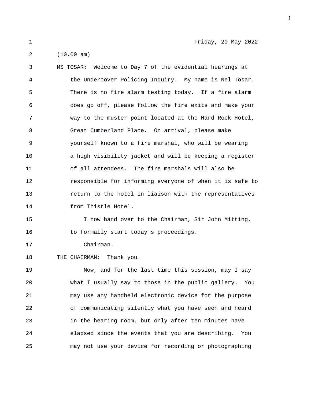1 Friday, 20 May 2022

3 MS TOSAR: Welcome to Day 7 of the evidential hearings at 4 the Undercover Policing Inquiry. My name is Nel Tosar. 5 There is no fire alarm testing today. If a fire alarm 6 does go off, please follow the fire exits and make your 7 way to the muster point located at the Hard Rock Hotel, 8 Great Cumberland Place. On arrival, please make 9 yourself known to a fire marshal, who will be wearing 10 a high visibility jacket and will be keeping a register 11 of all attendees. The fire marshals will also be 12 responsible for informing everyone of when it is safe to 13 return to the hotel in liaison with the representatives 14 from Thistle Hotel.

15 I now hand over to the Chairman, Sir John Mitting, 16 to formally start today's proceedings.

17 Chairman.

## 18 THE CHAIRMAN: Thank you.

19 Now, and for the last time this session, may I say 20 what I usually say to those in the public gallery. You 21 may use any handheld electronic device for the purpose 22 of communicating silently what you have seen and heard 23 in the hearing room, but only after ten minutes have 24 elapsed since the events that you are describing. You 25 may not use your device for recording or photographing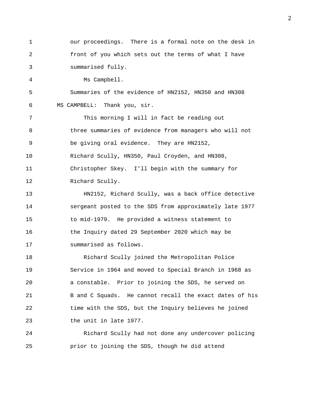1 our proceedings. There is a formal note on the desk in 2 front of you which sets out the terms of what I have 3 summarised fully. 4 Ms Campbell. 5 Summaries of the evidence of HN2152, HN350 and HN308 6 MS CAMPBELL: Thank you, sir. 7 This morning I will in fact be reading out 8 three summaries of evidence from managers who will not 9 be giving oral evidence. They are HN2152, 10 Richard Scully, HN350, Paul Croyden, and HN308, 11 Christopher Skey. I'll begin with the summary for 12 Richard Scully. 13 HN2152, Richard Scully, was a back office detective 14 sergeant posted to the SDS from approximately late 1977 15 to mid-1979. He provided a witness statement to 16 the Inquiry dated 29 September 2020 which may be 17 summarised as follows. 18 Richard Scully joined the Metropolitan Police 19 Service in 1964 and moved to Special Branch in 1968 as 20 a constable. Prior to joining the SDS, he served on 21 B and C Squads. He cannot recall the exact dates of his 22 time with the SDS, but the Inquiry believes he joined

23 the unit in late 1977.

24 Richard Scully had not done any undercover policing 25 prior to joining the SDS, though he did attend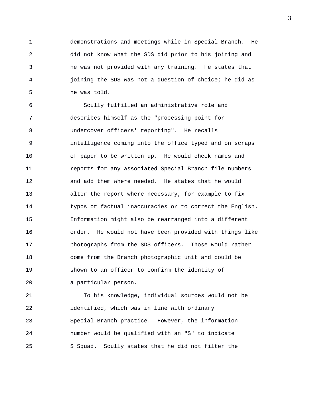1 demonstrations and meetings while in Special Branch. He 2 did not know what the SDS did prior to his joining and 3 he was not provided with any training. He states that 4 joining the SDS was not a question of choice; he did as 5 he was told.

6 Scully fulfilled an administrative role and 7 describes himself as the "processing point for 8 undercover officers' reporting". He recalls 9 intelligence coming into the office typed and on scraps 10 of paper to be written up. He would check names and 11 reports for any associated Special Branch file numbers 12 and add them where needed. He states that he would 13 alter the report where necessary, for example to fix 14 typos or factual inaccuracies or to correct the English. 15 Information might also be rearranged into a different 16 order. He would not have been provided with things like 17 photographs from the SDS officers. Those would rather 18 come from the Branch photographic unit and could be 19 shown to an officer to confirm the identity of 20 a particular person.

21 To his knowledge, individual sources would not be 22 identified, which was in line with ordinary 23 Special Branch practice. However, the information 24 number would be qualified with an "S" to indicate 25 S Squad. Scully states that he did not filter the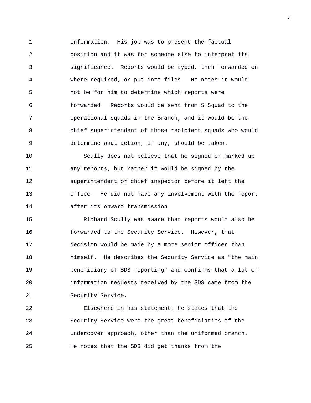1 information. His job was to present the factual 2 position and it was for someone else to interpret its 3 significance. Reports would be typed, then forwarded on 4 where required, or put into files. He notes it would 5 not be for him to determine which reports were 6 forwarded. Reports would be sent from S Squad to the 7 operational squads in the Branch, and it would be the 8 chief superintendent of those recipient squads who would 9 determine what action, if any, should be taken.

10 Scully does not believe that he signed or marked up 11 any reports, but rather it would be signed by the 12 superintendent or chief inspector before it left the 13 office. He did not have any involvement with the report 14 after its onward transmission.

15 Richard Scully was aware that reports would also be 16 forwarded to the Security Service. However, that 17 decision would be made by a more senior officer than 18 himself. He describes the Security Service as "the main 19 beneficiary of SDS reporting" and confirms that a lot of 20 information requests received by the SDS came from the 21 Security Service.

22 Elsewhere in his statement, he states that the 23 Security Service were the great beneficiaries of the 24 undercover approach, other than the uniformed branch. 25 He notes that the SDS did get thanks from the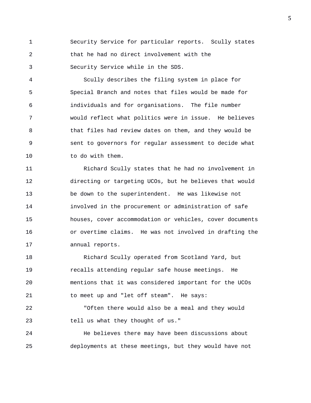1 Security Service for particular reports. Scully states 2 that he had no direct involvement with the 3 Security Service while in the SDS.

4 Scully describes the filing system in place for 5 Special Branch and notes that files would be made for 6 individuals and for organisations. The file number 7 would reflect what politics were in issue. He believes 8 that files had review dates on them, and they would be 9 sent to governors for regular assessment to decide what 10 to do with them.

11 Richard Scully states that he had no involvement in 12 directing or targeting UCOs, but he believes that would 13 be down to the superintendent. He was likewise not 14 involved in the procurement or administration of safe 15 houses, cover accommodation or vehicles, cover documents 16 or overtime claims. He was not involved in drafting the 17 annual reports.

18 Richard Scully operated from Scotland Yard, but 19 recalls attending regular safe house meetings. He 20 mentions that it was considered important for the UCOs 21 to meet up and "let off steam". He says:

22 "Often there would also be a meal and they would 23 tell us what they thought of us."

24 He believes there may have been discussions about 25 deployments at these meetings, but they would have not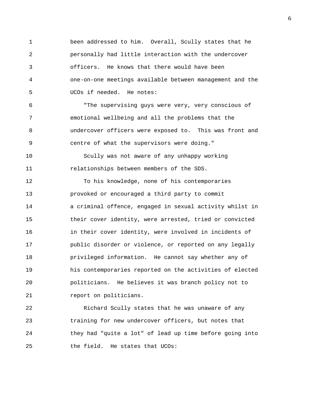1 been addressed to him. Overall, Scully states that he 2 personally had little interaction with the undercover 3 officers. He knows that there would have been 4 one-on-one meetings available between management and the 5 UCOs if needed. He notes:

6 "The supervising guys were very, very conscious of 7 emotional wellbeing and all the problems that the 8 undercover officers were exposed to. This was front and 9 centre of what the supervisors were doing."

10 Scully was not aware of any unhappy working 11 relationships between members of the SDS.

12 To his knowledge, none of his contemporaries 13 provoked or encouraged a third party to commit 14 a criminal offence, engaged in sexual activity whilst in 15 their cover identity, were arrested, tried or convicted 16 in their cover identity, were involved in incidents of 17 public disorder or violence, or reported on any legally 18 privileged information. He cannot say whether any of 19 his contemporaries reported on the activities of elected 20 politicians. He believes it was branch policy not to 21 *report on politicians.* 

22 Richard Scully states that he was unaware of any 23 training for new undercover officers, but notes that 24 they had "quite a lot" of lead up time before going into 25 the field. He states that UCOs: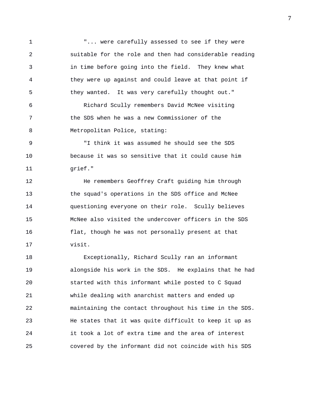1 The state of the carefully assessed to see if they were 2 suitable for the role and then had considerable reading 3 in time before going into the field. They knew what 4 they were up against and could leave at that point if 5 they wanted. It was very carefully thought out."

6 Richard Scully remembers David McNee visiting 7 the SDS when he was a new Commissioner of the 8 Metropolitan Police, stating:

9 "I think it was assumed he should see the SDS 10 because it was so sensitive that it could cause him 11 grief."

12 He remembers Geoffrey Craft guiding him through 13 the squad's operations in the SDS office and McNee 14 questioning everyone on their role. Scully believes 15 McNee also visited the undercover officers in the SDS 16 flat, though he was not personally present at that 17 visit.

18 Exceptionally, Richard Scully ran an informant 19 alongside his work in the SDS. He explains that he had 20 started with this informant while posted to C Squad 21 while dealing with anarchist matters and ended up 22 maintaining the contact throughout his time in the SDS. 23 He states that it was quite difficult to keep it up as 24 it took a lot of extra time and the area of interest 25 covered by the informant did not coincide with his SDS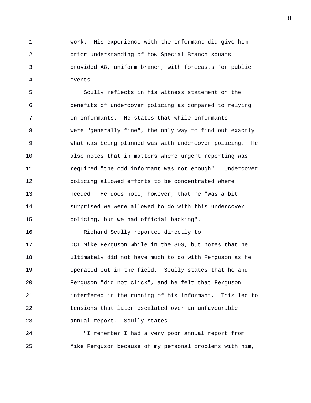1 work. His experience with the informant did give him 2 prior understanding of how Special Branch squads 3 provided A8, uniform branch, with forecasts for public 4 events.

5 Scully reflects in his witness statement on the 6 benefits of undercover policing as compared to relying 7 on informants. He states that while informants 8 were "generally fine", the only way to find out exactly 9 what was being planned was with undercover policing. He 10 also notes that in matters where urgent reporting was 11 required "the odd informant was not enough". Undercover 12 policing allowed efforts to be concentrated where 13 needed. He does note, however, that he "was a bit 14 surprised we were allowed to do with this undercover 15 policing, but we had official backing".

16 Richard Scully reported directly to 17 DCI Mike Ferguson while in the SDS, but notes that he 18 ultimately did not have much to do with Ferguson as he 19 operated out in the field. Scully states that he and 20 Ferguson "did not click", and he felt that Ferguson 21 interfered in the running of his informant. This led to 22 tensions that later escalated over an unfavourable 23 annual report. Scully states:

24 "I remember I had a very poor annual report from 25 Mike Ferguson because of my personal problems with him,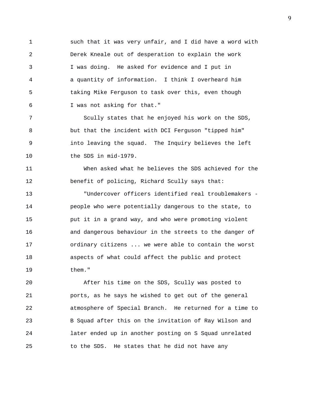1 such that it was very unfair, and I did have a word with 2 Derek Kneale out of desperation to explain the work 3 I was doing. He asked for evidence and I put in 4 a quantity of information. I think I overheard him 5 taking Mike Ferguson to task over this, even though 6 I was not asking for that."

7 Scully states that he enjoyed his work on the SDS, 8 but that the incident with DCI Ferguson "tipped him" 9 into leaving the squad. The Inquiry believes the left 10 the SDS in mid-1979.

11 When asked what he believes the SDS achieved for the 12 benefit of policing, Richard Scully says that:

13 "Undercover officers identified real troublemakers - 14 people who were potentially dangerous to the state, to 15 put it in a grand way, and who were promoting violent 16 and dangerous behaviour in the streets to the danger of 17 ordinary citizens ... we were able to contain the worst 18 aspects of what could affect the public and protect 19 them."

20 After his time on the SDS, Scully was posted to 21 ports, as he says he wished to get out of the general 22 atmosphere of Special Branch. He returned for a time to 23 B Squad after this on the invitation of Ray Wilson and 24 later ended up in another posting on S Squad unrelated 25 to the SDS. He states that he did not have any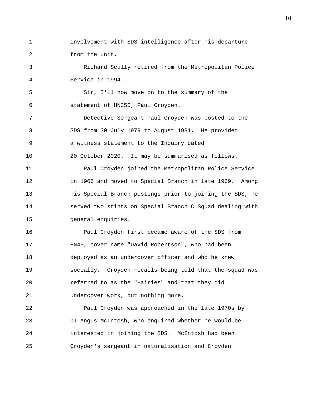1 involvement with SDS intelligence after his departure 2 from the unit.

3 Richard Scully retired from the Metropolitan Police 4 Service in 1994.

5 Sir, I'll now move on to the summary of the 6 statement of HN350, Paul Croyden.

7 Detective Sergeant Paul Croyden was posted to the 8 SDS from 30 July 1979 to August 1981. He provided 9 a witness statement to the Inquiry dated 10 20 October 2020. It may be summarised as follows. 11 Paul Croyden joined the Metropolitan Police Service 12 in 1966 and moved to Special Branch in late 1969. Among 13 his Special Branch postings prior to joining the SDS, he 14 served two stints on Special Branch C Squad dealing with 15 general enquiries.

16 Paul Croyden first became aware of the SDS from 17 HN45, cover name "David Robertson", who had been 18 deployed as an undercover officer and who he knew 19 socially. Croyden recalls being told that the squad was 20 referred to as the "Hairies" and that they did 21 undercover work, but nothing more.

22 Paul Croyden was approached in the late 1970s by 23 DI Angus McIntosh, who enquired whether he would be 24 interested in joining the SDS. McIntosh had been 25 Croyden's sergeant in naturalisation and Croyden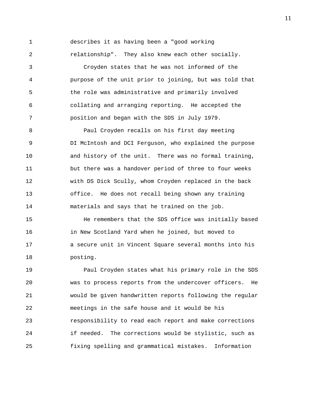1 describes it as having been a "good working 2 relationship". They also knew each other socially.

3 Croyden states that he was not informed of the 4 purpose of the unit prior to joining, but was told that 5 the role was administrative and primarily involved 6 collating and arranging reporting. He accepted the 7 position and began with the SDS in July 1979.

8 Paul Croyden recalls on his first day meeting 9 DI McIntosh and DCI Ferguson, who explained the purpose 10 and history of the unit. There was no formal training, 11 but there was a handover period of three to four weeks 12 with DS Dick Scully, whom Croyden replaced in the back 13 office. He does not recall being shown any training 14 materials and says that he trained on the job.

15 He remembers that the SDS office was initially based 16 in New Scotland Yard when he joined, but moved to 17 a secure unit in Vincent Square several months into his 18 posting.

19 Paul Croyden states what his primary role in the SDS 20 was to process reports from the undercover officers. He 21 would be given handwritten reports following the regular 22 meetings in the safe house and it would be his 23 responsibility to read each report and make corrections 24 if needed. The corrections would be stylistic, such as 25 fixing spelling and grammatical mistakes. Information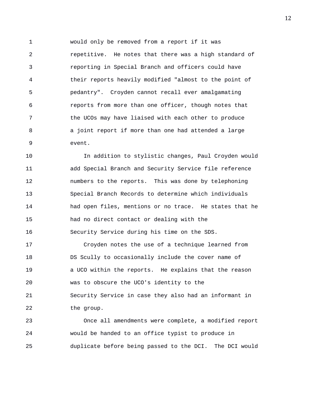1 would only be removed from a report if it was 2 repetitive. He notes that there was a high standard of 3 reporting in Special Branch and officers could have 4 their reports heavily modified "almost to the point of 5 pedantry". Croyden cannot recall ever amalgamating 6 reports from more than one officer, though notes that 7 the UCOs may have liaised with each other to produce 8 a joint report if more than one had attended a large 9 event.

10 In addition to stylistic changes, Paul Croyden would 11 add Special Branch and Security Service file reference 12 numbers to the reports. This was done by telephoning 13 Special Branch Records to determine which individuals 14 had open files, mentions or no trace. He states that he 15 had no direct contact or dealing with the 16 Security Service during his time on the SDS.

17 Croyden notes the use of a technique learned from 18 DS Scully to occasionally include the cover name of 19 a UCO within the reports. He explains that the reason 20 was to obscure the UCO's identity to the 21 Security Service in case they also had an informant in 22 the group.

23 Once all amendments were complete, a modified report 24 would be handed to an office typist to produce in 25 duplicate before being passed to the DCI. The DCI would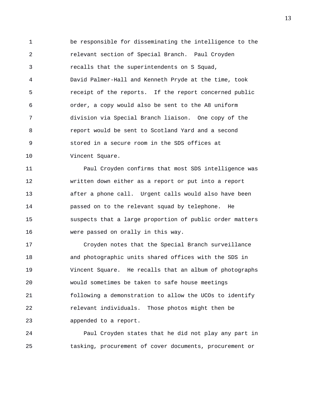1 be responsible for disseminating the intelligence to the 2 relevant section of Special Branch. Paul Croyden 3 recalls that the superintendents on S Squad, 4 David Palmer-Hall and Kenneth Pryde at the time, took 5 receipt of the reports. If the report concerned public 6 order, a copy would also be sent to the A8 uniform 7 division via Special Branch liaison. One copy of the 8 report would be sent to Scotland Yard and a second 9 stored in a secure room in the SDS offices at 10 Vincent Square.

11 Paul Croyden confirms that most SDS intelligence was 12 written down either as a report or put into a report 13 after a phone call. Urgent calls would also have been 14 passed on to the relevant squad by telephone. He 15 suspects that a large proportion of public order matters 16 were passed on orally in this way.

17 Croyden notes that the Special Branch surveillance 18 and photographic units shared offices with the SDS in 19 Vincent Square. He recalls that an album of photographs 20 would sometimes be taken to safe house meetings 21 following a demonstration to allow the UCOs to identify 22 relevant individuals. Those photos might then be 23 appended to a report.

24 Paul Croyden states that he did not play any part in 25 tasking, procurement of cover documents, procurement or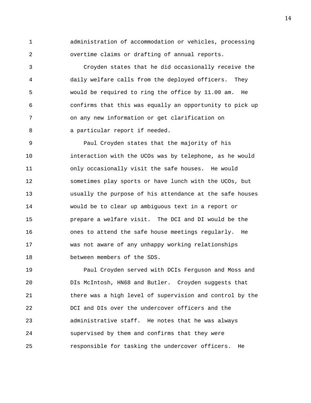1 administration of accommodation or vehicles, processing 2 overtime claims or drafting of annual reports.

3 Croyden states that he did occasionally receive the 4 daily welfare calls from the deployed officers. They 5 would be required to ring the office by 11.00 am. He 6 confirms that this was equally an opportunity to pick up 7 on any new information or get clarification on 8 a particular report if needed.

9 Paul Croyden states that the majority of his 10 interaction with the UCOs was by telephone, as he would 11 only occasionally visit the safe houses. He would 12 sometimes play sports or have lunch with the UCOs, but 13 usually the purpose of his attendance at the safe houses 14 would be to clear up ambiguous text in a report or 15 prepare a welfare visit. The DCI and DI would be the 16 ones to attend the safe house meetings regularly. He 17 was not aware of any unhappy working relationships 18 between members of the SDS.

19 Paul Croyden served with DCIs Ferguson and Moss and 20 DIs McIntosh, HN68 and Butler. Croyden suggests that 21 there was a high level of supervision and control by the 22 DCI and DIs over the undercover officers and the 23 administrative staff. He notes that he was always 24 supervised by them and confirms that they were 25 responsible for tasking the undercover officers. He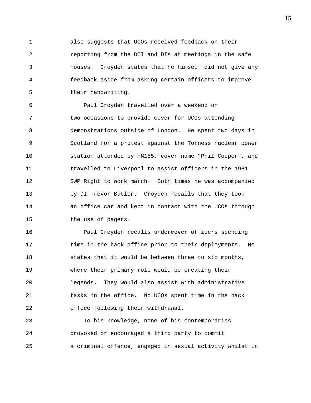1 also suggests that UCOs received feedback on their 2 reporting from the DCI and DIs at meetings in the safe 3 houses. Croyden states that he himself did not give any 4 feedback aside from asking certain officers to improve 5 their handwriting.

6 Paul Croyden travelled over a weekend on 7 two occasions to provide cover for UCOs attending 8 demonstrations outside of London. He spent two days in 9 Scotland for a protest against the Torness nuclear power 10 station attended by HN155, cover name "Phil Cooper", and 11 travelled to Liverpool to assist officers in the 1981 12 SWP Right to Work march. Both times he was accompanied 13 by DI Trevor Butler. Croyden recalls that they took 14 an office car and kept in contact with the UCOs through 15 the use of pagers.

16 Paul Croyden recalls undercover officers spending 17 time in the back office prior to their deployments. He 18 states that it would be between three to six months, 19 where their primary role would be creating their 20 legends. They would also assist with administrative 21 tasks in the office. No UCOs spent time in the back 22 office following their withdrawal.

23 To his knowledge, none of his contemporaries 24 provoked or encouraged a third party to commit 25 a criminal offence, engaged in sexual activity whilst in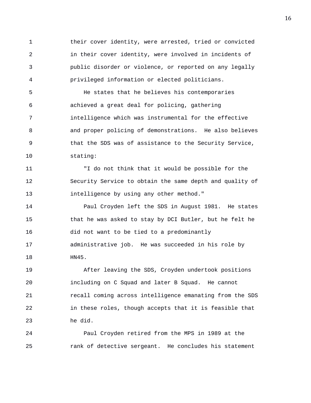1 their cover identity, were arrested, tried or convicted 2 in their cover identity, were involved in incidents of 3 public disorder or violence, or reported on any legally 4 privileged information or elected politicians.

5 He states that he believes his contemporaries 6 achieved a great deal for policing, gathering 7 intelligence which was instrumental for the effective 8 and proper policing of demonstrations. He also believes 9 that the SDS was of assistance to the Security Service, 10 stating:

11 "I do not think that it would be possible for the 12 Security Service to obtain the same depth and quality of 13 intelligence by using any other method."

14 Paul Croyden left the SDS in August 1981. He states 15 that he was asked to stay by DCI Butler, but he felt he 16 did not want to be tied to a predominantly 17 administrative job. He was succeeded in his role by 18 HN45.

19 After leaving the SDS, Croyden undertook positions 20 including on C Squad and later B Squad. He cannot 21 recall coming across intelligence emanating from the SDS 22 in these roles, though accepts that it is feasible that 23 he did.

24 Paul Croyden retired from the MPS in 1989 at the 25 rank of detective sergeant. He concludes his statement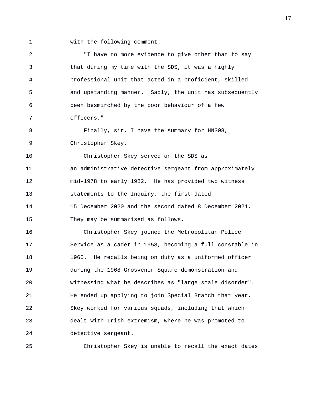- 
- 1 with the following comment:

2 "I have no more evidence to give other than to say 3 that during my time with the SDS, it was a highly 4 professional unit that acted in a proficient, skilled 5 and upstanding manner. Sadly, the unit has subsequently 6 been besmirched by the poor behaviour of a few 7 officers." 8 Finally, sir, I have the summary for HN308, 9 Christopher Skey. 10 Christopher Skey served on the SDS as 11 an administrative detective sergeant from approximately 12 mid-1978 to early 1982. He has provided two witness 13 statements to the Inquiry, the first dated 14 15 December 2020 and the second dated 8 December 2021. 15 They may be summarised as follows. 16 Christopher Skey joined the Metropolitan Police 17 Service as a cadet in 1958, becoming a full constable in 18 1960. He recalls being on duty as a uniformed officer 19 during the 1968 Grosvenor Square demonstration and 20 witnessing what he describes as "large scale disorder". 21 He ended up applying to join Special Branch that year. 22 Skey worked for various squads, including that which 23 dealt with Irish extremism, where he was promoted to 24 detective sergeant.

25 Christopher Skey is unable to recall the exact dates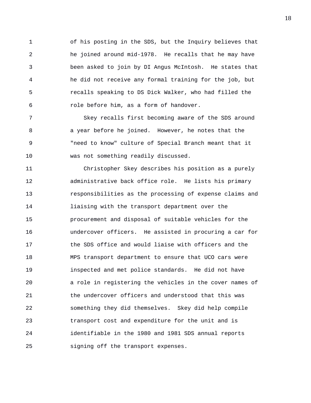1 of his posting in the SDS, but the Inquiry believes that 2 he joined around mid-1978. He recalls that he may have 3 been asked to join by DI Angus McIntosh. He states that 4 he did not receive any formal training for the job, but 5 recalls speaking to DS Dick Walker, who had filled the 6 role before him, as a form of handover.

7 Skey recalls first becoming aware of the SDS around 8 a year before he joined. However, he notes that the 9 "need to know" culture of Special Branch meant that it 10 was not something readily discussed.

11 Christopher Skey describes his position as a purely 12 administrative back office role. He lists his primary 13 responsibilities as the processing of expense claims and 14 liaising with the transport department over the 15 procurement and disposal of suitable vehicles for the 16 undercover officers. He assisted in procuring a car for 17 the SDS office and would liaise with officers and the 18 MPS transport department to ensure that UCO cars were 19 inspected and met police standards. He did not have 20 a role in registering the vehicles in the cover names of 21 the undercover officers and understood that this was 22 something they did themselves. Skey did help compile 23 transport cost and expenditure for the unit and is 24 identifiable in the 1980 and 1981 SDS annual reports 25 signing off the transport expenses.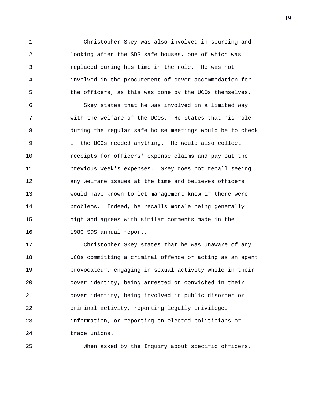1 Christopher Skey was also involved in sourcing and 2 looking after the SDS safe houses, one of which was 3 replaced during his time in the role. He was not 4 involved in the procurement of cover accommodation for 5 the officers, as this was done by the UCOs themselves.

6 Skey states that he was involved in a limited way 7 with the welfare of the UCOs. He states that his role 8 during the regular safe house meetings would be to check 9 if the UCOs needed anything. He would also collect 10 receipts for officers' expense claims and pay out the 11 previous week's expenses. Skey does not recall seeing 12 any welfare issues at the time and believes officers 13 would have known to let management know if there were 14 problems. Indeed, he recalls morale being generally 15 high and agrees with similar comments made in the 16 1980 SDS annual report.

17 Christopher Skey states that he was unaware of any 18 UCOs committing a criminal offence or acting as an agent 19 provocateur, engaging in sexual activity while in their 20 cover identity, being arrested or convicted in their 21 cover identity, being involved in public disorder or 22 criminal activity, reporting legally privileged 23 information, or reporting on elected politicians or 24 trade unions.

25 When asked by the Inquiry about specific officers,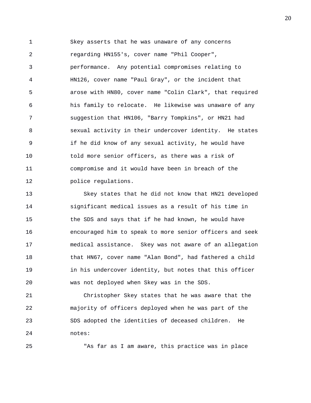1 Skey asserts that he was unaware of any concerns 2 regarding HN155's, cover name "Phil Cooper", 3 performance. Any potential compromises relating to 4 HN126, cover name "Paul Gray", or the incident that 5 arose with HN80, cover name "Colin Clark", that required 6 his family to relocate. He likewise was unaware of any 7 suggestion that HN106, "Barry Tompkins", or HN21 had 8 sexual activity in their undercover identity. He states 9 if he did know of any sexual activity, he would have 10 told more senior officers, as there was a risk of 11 compromise and it would have been in breach of the 12 police regulations.

13 Skey states that he did not know that HN21 developed 14 significant medical issues as a result of his time in 15 the SDS and says that if he had known, he would have 16 encouraged him to speak to more senior officers and seek 17 medical assistance. Skey was not aware of an allegation 18 that HN67, cover name "Alan Bond", had fathered a child 19 in his undercover identity, but notes that this officer 20 was not deployed when Skey was in the SDS.

21 Christopher Skey states that he was aware that the 22 majority of officers deployed when he was part of the 23 SDS adopted the identities of deceased children. He 24 notes:

25 "As far as I am aware, this practice was in place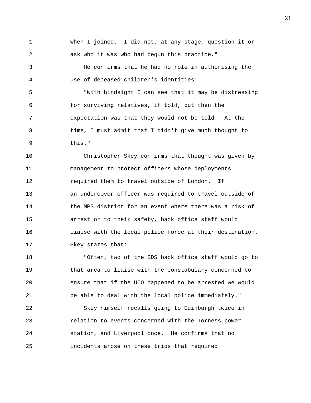1 when I joined. I did not, at any stage, question it or 2 ask who it was who had begun this practice."

3 He confirms that he had no role in authorising the 4 use of deceased children's identities:

5 "With hindsight I can see that it may be distressing 6 for surviving relatives, if told, but then the 7 expectation was that they would not be told. At the 8 time, I must admit that I didn't give much thought to 9 this."

10 Christopher Skey confirms that thought was given by 11 management to protect officers whose deployments 12 required them to travel outside of London. If 13 an undercover officer was required to travel outside of 14 the MPS district for an event where there was a risk of 15 arrest or to their safety, back office staff would 16 liaise with the local police force at their destination. 17 Skey states that:

18 "Often, two of the SDS back office staff would go to 19 that area to liaise with the constabulary concerned to 20 ensure that if the UCO happened to be arrested we would 21 be able to deal with the local police immediately."

22 Skey himself recalls going to Edinburgh twice in 23 relation to events concerned with the Torness power 24 station, and Liverpool once. He confirms that no 25 incidents arose on these trips that required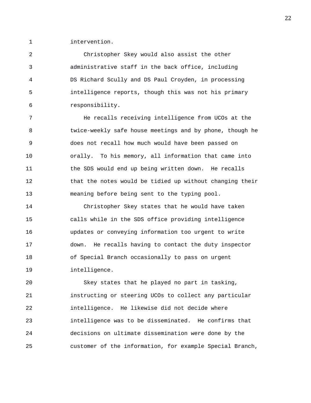1 intervention.

2 Christopher Skey would also assist the other 3 administrative staff in the back office, including 4 DS Richard Scully and DS Paul Croyden, in processing 5 intelligence reports, though this was not his primary 6 responsibility.

7 He recalls receiving intelligence from UCOs at the 8 twice-weekly safe house meetings and by phone, though he 9 does not recall how much would have been passed on 10 orally. To his memory, all information that came into 11 the SDS would end up being written down. He recalls 12 that the notes would be tidied up without changing their 13 meaning before being sent to the typing pool.

14 Christopher Skey states that he would have taken 15 calls while in the SDS office providing intelligence 16 updates or conveying information too urgent to write 17 down. He recalls having to contact the duty inspector 18 of Special Branch occasionally to pass on urgent 19 intelligence.

20 Skey states that he played no part in tasking, 21 instructing or steering UCOs to collect any particular 22 intelligence. He likewise did not decide where 23 intelligence was to be disseminated. He confirms that 24 decisions on ultimate dissemination were done by the 25 customer of the information, for example Special Branch,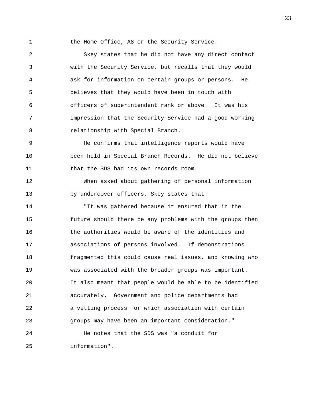1 the Home Office, A8 or the Security Service.

2 Skey states that he did not have any direct contact 3 with the Security Service, but recalls that they would 4 ask for information on certain groups or persons. He 5 believes that they would have been in touch with 6 officers of superintendent rank or above. It was his 7 impression that the Security Service had a good working 8 relationship with Special Branch.

9 He confirms that intelligence reports would have 10 been held in Special Branch Records. He did not believe 11 that the SDS had its own records room.

12 When asked about gathering of personal information 13 by undercover officers, Skey states that:

14 "It was gathered because it ensured that in the 15 future should there be any problems with the groups then 16 the authorities would be aware of the identities and 17 associations of persons involved. If demonstrations 18 fragmented this could cause real issues, and knowing who 19 was associated with the broader groups was important. 20 It also meant that people would be able to be identified 21 accurately. Government and police departments had 22 a vetting process for which association with certain 23 groups may have been an important consideration." 24 He notes that the SDS was "a conduit for

25 information".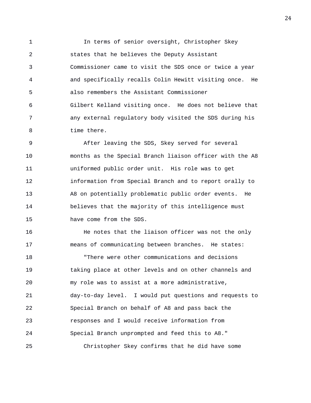1 In terms of senior oversight, Christopher Skey 2 states that he believes the Deputy Assistant 3 Commissioner came to visit the SDS once or twice a year 4 and specifically recalls Colin Hewitt visiting once. He 5 also remembers the Assistant Commissioner 6 Gilbert Kelland visiting once. He does not believe that 7 any external regulatory body visited the SDS during his 8 time there.

9 After leaving the SDS, Skey served for several 10 months as the Special Branch liaison officer with the A8 11 uniformed public order unit. His role was to get 12 information from Special Branch and to report orally to 13 A8 on potentially problematic public order events. He 14 believes that the majority of this intelligence must 15 have come from the SDS.

16 **He notes that the liaison officer was not the only** 17 means of communicating between branches. He states: 18 "There were other communications and decisions 19 taking place at other levels and on other channels and 20 my role was to assist at a more administrative, 21 day-to-day level. I would put questions and requests to 22 Special Branch on behalf of A8 and pass back the 23 responses and I would receive information from 24 Special Branch unprompted and feed this to A8." 25 Christopher Skey confirms that he did have some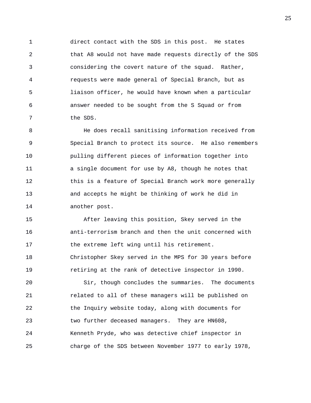1 direct contact with the SDS in this post. He states 2 that A8 would not have made requests directly of the SDS 3 considering the covert nature of the squad. Rather, 4 requests were made general of Special Branch, but as 5 liaison officer, he would have known when a particular 6 answer needed to be sought from the S Squad or from 7 the SDS.

8 He does recall sanitising information received from 9 Special Branch to protect its source. He also remembers 10 pulling different pieces of information together into 11 a single document for use by A8, though he notes that 12 this is a feature of Special Branch work more generally 13 and accepts he might be thinking of work he did in 14 another post.

15 After leaving this position, Skey served in the 16 anti-terrorism branch and then the unit concerned with 17 the extreme left wing until his retirement. 18 Christopher Skey served in the MPS for 30 years before 19 retiring at the rank of detective inspector in 1990.

20 Sir, though concludes the summaries. The documents 21 related to all of these managers will be published on 22 the Inquiry website today, along with documents for 23 two further deceased managers. They are HN608, 24 Kenneth Pryde, who was detective chief inspector in 25 charge of the SDS between November 1977 to early 1978,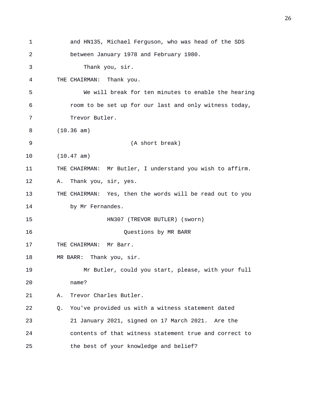1 and HN135, Michael Ferguson, who was head of the SDS 2 between January 1978 and February 1980. 3 Thank you, sir. 4 THE CHAIRMAN: Thank you. 5 We will break for ten minutes to enable the hearing 6 room to be set up for our last and only witness today, 7 Trevor Butler. 8 (10.36 am) 9 (A short break) 10 (10.47 am) 11 THE CHAIRMAN: Mr Butler, I understand you wish to affirm. 12 A. Thank you, sir, yes. 13 THE CHAIRMAN: Yes, then the words will be read out to you 14 by Mr Fernandes. 15 HN307 (TREVOR BUTLER) (sworn) 16 Questions by MR BARR 17 THE CHAIRMAN: Mr Barr. 18 MR BARR: Thank you, sir. 19 Mr Butler, could you start, please, with your full 20 name? 21 A. Trevor Charles Butler. 22 Q. You've provided us with a witness statement dated 23 21 January 2021, signed on 17 March 2021. Are the 24 contents of that witness statement true and correct to 25 the best of your knowledge and belief?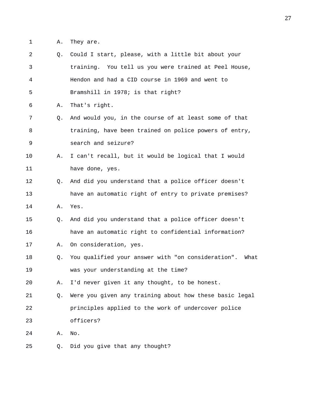1 A. They are.

| 2  | Q.          | Could I start, please, with a little bit about your        |
|----|-------------|------------------------------------------------------------|
| 3  |             | training. You tell us you were trained at Peel House,      |
| 4  |             | Hendon and had a CID course in 1969 and went to            |
| 5  |             | Bramshill in 1978; is that right?                          |
| 6  | Α.          | That's right.                                              |
| 7  | Q.          | And would you, in the course of at least some of that      |
| 8  |             | training, have been trained on police powers of entry,     |
| 9  |             | search and seizure?                                        |
| 10 | Α.          | I can't recall, but it would be logical that I would       |
| 11 |             | have done, yes.                                            |
| 12 | $\circ$ .   | And did you understand that a police officer doesn't       |
| 13 |             | have an automatic right of entry to private premises?      |
| 14 | Α.          | Yes.                                                       |
| 15 | $Q_{\star}$ | And did you understand that a police officer doesn't       |
| 16 |             | have an automatic right to confidential information?       |
| 17 | Α.          | On consideration, yes.                                     |
| 18 | Q.          | You qualified your answer with "on consideration".<br>What |
| 19 |             | was your understanding at the time?                        |
| 20 | Α.          | I'd never given it any thought, to be honest.              |
| 21 | Q.          | Were you given any training about how these basic legal    |
| 22 |             | principles applied to the work of undercover police        |
| 23 |             | officers?                                                  |
| 24 | Α.          | No.                                                        |
| 25 | Q.          | Did you give that any thought?                             |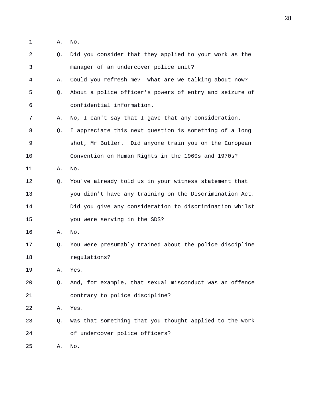1 A. No.

| 2  | Q. | Did you consider that they applied to your work as the  |
|----|----|---------------------------------------------------------|
| 3  |    | manager of an undercover police unit?                   |
| 4  | Α. | Could you refresh me? What are we talking about now?    |
| 5  | Q. | About a police officer's powers of entry and seizure of |
| 6  |    | confidential information.                               |
| 7  | Α. | No, I can't say that I gave that any consideration.     |
| 8  | Q. | I appreciate this next question is something of a long  |
| 9  |    | shot, Mr Butler. Did anyone train you on the European   |
| 10 |    | Convention on Human Rights in the 1960s and 1970s?      |
| 11 | Α. | No.                                                     |
| 12 | Q. | You've already told us in your witness statement that   |
| 13 |    | you didn't have any training on the Discrimination Act. |
| 14 |    | Did you give any consideration to discrimination whilst |
| 15 |    | you were serving in the SDS?                            |
| 16 | Α. | No.                                                     |
| 17 | Q. | You were presumably trained about the police discipline |
| 18 |    | regulations?                                            |
| 19 | Α. | Yes.                                                    |
| 20 | Q. | And, for example, that sexual misconduct was an offence |
| 21 |    | contrary to police discipline?                          |
| 22 | Α. | Yes.                                                    |
| 23 | Q. | Was that something that you thought applied to the work |
| 24 |    | of undercover police officers?                          |
| 25 | Α. | No.                                                     |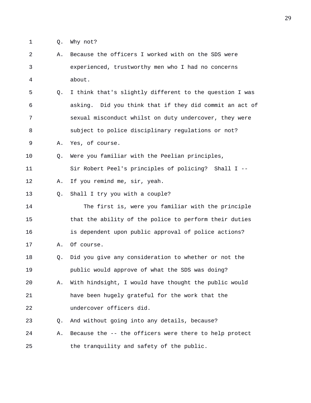1 Q. Why not?

2 A. Because the officers I worked with on the SDS were 3 experienced, trustworthy men who I had no concerns 4 about. 5 Q. I think that's slightly different to the question I was 6 asking. Did you think that if they did commit an act of 7 sexual misconduct whilst on duty undercover, they were 8 subject to police disciplinary regulations or not? 9 A. Yes, of course. 10 Q. Were you familiar with the Peelian principles, 11 Sir Robert Peel's principles of policing? Shall I -- 12 A. If you remind me, sir, yeah. 13 Q. Shall I try you with a couple? 14 The first is, were you familiar with the principle 15 that the ability of the police to perform their duties 16 is dependent upon public approval of police actions? 17 A. Of course. 18 Q. Did you give any consideration to whether or not the 19 public would approve of what the SDS was doing? 20 A. With hindsight, I would have thought the public would 21 have been hugely grateful for the work that the 22 undercover officers did. 23 Q. And without going into any details, because? 24 A. Because the -- the officers were there to help protect 25 the tranquility and safety of the public.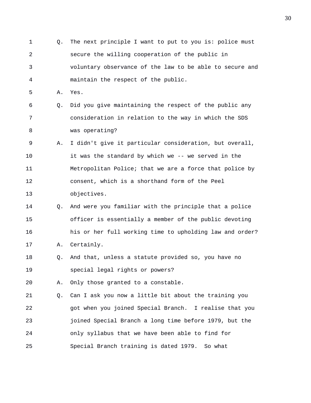1 Q. The next principle I want to put to you is: police must 2 secure the willing cooperation of the public in 3 voluntary observance of the law to be able to secure and 4 maintain the respect of the public. 5 A. Yes. 6 Q. Did you give maintaining the respect of the public any 7 consideration in relation to the way in which the SDS 8 was operating? 9 A. I didn't give it particular consideration, but overall, 10 it was the standard by which we -- we served in the 11 Metropolitan Police; that we are a force that police by 12 consent, which is a shorthand form of the Peel 13 objectives. 14 Q. And were you familiar with the principle that a police 15 officer is essentially a member of the public devoting 16 his or her full working time to upholding law and order? 17 A. Certainly. 18 Q. And that, unless a statute provided so, you have no 19 special legal rights or powers? 20 A. Only those granted to a constable. 21 Q. Can I ask you now a little bit about the training you 22 got when you joined Special Branch. I realise that you 23 joined Special Branch a long time before 1979, but the 24 only syllabus that we have been able to find for 25 Special Branch training is dated 1979. So what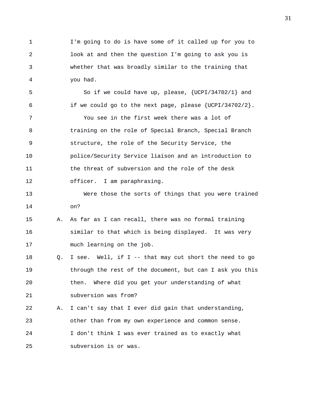1 I'm going to do is have some of it called up for you to 2 look at and then the question I'm going to ask you is 3 whether that was broadly similar to the training that 4 you had.

5 So if we could have up, please, {UCPI/34702/1} and 6 if we could go to the next page, please  $\{UCPI/34702/2\}$ .

7 You see in the first week there was a lot of 8 training on the role of Special Branch, Special Branch 9 structure, the role of the Security Service, the 10 police/Security Service liaison and an introduction to 11 the threat of subversion and the role of the desk 12 officer. I am paraphrasing.

13 Were those the sorts of things that you were trained 14 on?

## 15 A. As far as I can recall, there was no formal training 16 similar to that which is being displayed. It was very 17 much learning on the job.

18 Q. I see. Well, if I -- that may cut short the need to go 19 through the rest of the document, but can I ask you this 20 then. Where did you get your understanding of what 21 subversion was from?

22 A. I can't say that I ever did gain that understanding, 23 other than from my own experience and common sense. 24 I don't think I was ever trained as to exactly what 25 subversion is or was.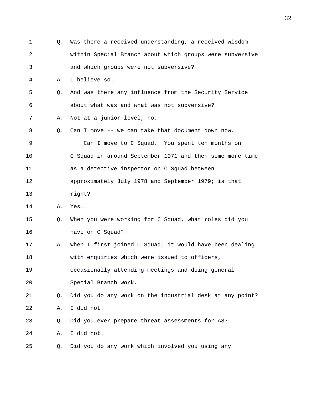| 1          | О. | Was there a received understanding, a received wisdom    |
|------------|----|----------------------------------------------------------|
| $\sqrt{2}$ |    | within Special Branch about which groups were subversive |
| 3          |    | and which groups were not subversive?                    |
| 4          | Α. | I believe so.                                            |
| 5          | О. | And was there any influence from the Security Service    |
| 6          |    | about what was and what was not subversive?              |
| 7          | Α. | Not at a junior level, no.                               |
| 8          | Q. | Can I move -- we can take that document down now.        |
| 9          |    | Can I move to C Squad. You spent ten months on           |
| 10         |    | C Squad in around September 1971 and then some more time |
| 11         |    | as a detective inspector on C Squad between              |
| 12         |    | approximately July 1978 and September 1979; is that      |
| 13         |    | right?                                                   |
| 14         | Α. | Yes.                                                     |
| 15         | Q. | When you were working for C Squad, what roles did you    |
| 16         |    | have on C Squad?                                         |
| 17         | Α. | When I first joined C Squad, it would have been dealing  |
| 18         |    | with enquiries which were issued to officers,            |
| 19         |    | occasionally attending meetings and doing general        |
| 20         |    | Special Branch work.                                     |
| 21         | Q. | Did you do any work on the industrial desk at any point? |
| 22         | Α. | I did not.                                               |
| 23         | Q. | Did you ever prepare threat assessments for A8?          |
| 24         | Α. | I did not.                                               |
| 25         | Q. | Did you do any work which involved you using any         |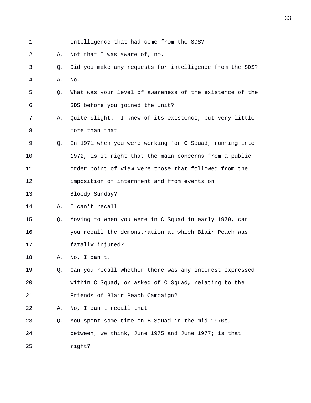1 intelligence that had come from the SDS? 2 A. Not that I was aware of, no. 3 Q. Did you make any requests for intelligence from the SDS? 4 A. No. 5 Q. What was your level of awareness of the existence of the 6 SDS before you joined the unit? 7 A. Quite slight. I knew of its existence, but very little 8 more than that. 9 Q. In 1971 when you were working for C Squad, running into 10 1972, is it right that the main concerns from a public 11 order point of view were those that followed from the 12 imposition of internment and from events on 13 Bloody Sunday? 14 A. I can't recall. 15 Q. Moving to when you were in C Squad in early 1979, can 16 you recall the demonstration at which Blair Peach was 17 fatally injured? 18 A. No, I can't. 19 Q. Can you recall whether there was any interest expressed 20 within C Squad, or asked of C Squad, relating to the 21 Friends of Blair Peach Campaign? 22 A. No, I can't recall that. 23 Q. You spent some time on B Squad in the mid-1970s, 24 between, we think, June 1975 and June 1977; is that 25 right?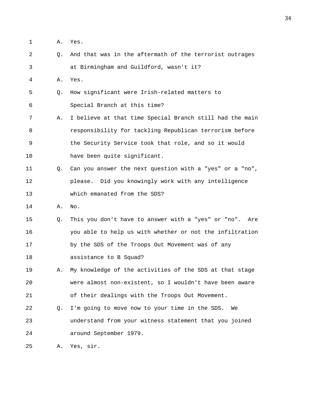- 1 A. Yes.
- 2 Q. And that was in the aftermath of the terrorist outrages 3 at Birmingham and Guildford, wasn't it?
- 4 A. Yes.
- 5 Q. How significant were Irish-related matters to 6 Special Branch at this time?
- 7 A. I believe at that time Special Branch still had the main 8 responsibility for tackling Republican terrorism before 9 the Security Service took that role, and so it would 10 have been quite significant.
- 11 Q. Can you answer the next question with a "yes" or a "no", 12 please. Did you knowingly work with any intelligence 13 which emanated from the SDS?
- 14 A. No.
- 15 Q. This you don't have to answer with a "yes" or "no". Are 16 you able to help us with whether or not the infiltration 17 by the SDS of the Troops Out Movement was of any 18 assistance to B Squad?
- 19 A. My knowledge of the activities of the SDS at that stage 20 were almost non-existent, so I wouldn't have been aware 21 of their dealings with the Troops Out Movement.
- 22 Q. I'm going to move now to your time in the SDS. We 23 understand from your witness statement that you joined 24 around September 1979.

25 A. Yes, sir.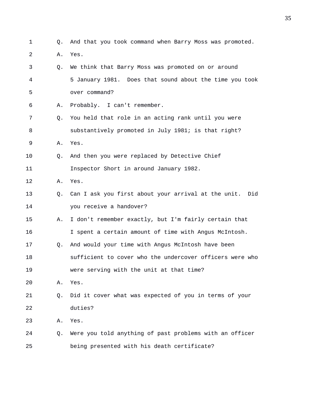| $\mathbf 1$ | Q. | And that you took command when Barry Moss was promoted.  |
|-------------|----|----------------------------------------------------------|
| 2           | Α. | Yes.                                                     |
| 3           | О. | We think that Barry Moss was promoted on or around       |
| 4           |    | 5 January 1981. Does that sound about the time you took  |
| 5           |    | over command?                                            |
| 6           | Α. | Probably. I can't remember.                              |
| 7           | Q. | You held that role in an acting rank until you were      |
| 8           |    | substantively promoted in July 1981; is that right?      |
| 9           | Α. | Yes.                                                     |
| 10          | O. | And then you were replaced by Detective Chief            |
| 11          |    | Inspector Short in around January 1982.                  |
| 12          | Α. | Yes.                                                     |
| 13          | Q. | Can I ask you first about your arrival at the unit. Did  |
| 14          |    | you receive a handover?                                  |
| 15          | Α. | I don't remember exactly, but I'm fairly certain that    |
| 16          |    | I spent a certain amount of time with Angus McIntosh.    |
| 17          | Q. | And would your time with Angus McIntosh have been        |
| 18          |    | sufficient to cover who the undercover officers were who |
| 19          |    | were serving with the unit at that time?                 |
| 20          | Α. | Yes.                                                     |
| 21          | Q. | Did it cover what was expected of you in terms of your   |
| 22          |    | duties?                                                  |
| 23          | Α. | Yes.                                                     |
|             |    |                                                          |

24 Q. Were you told anything of past problems with an officer 25 being presented with his death certificate?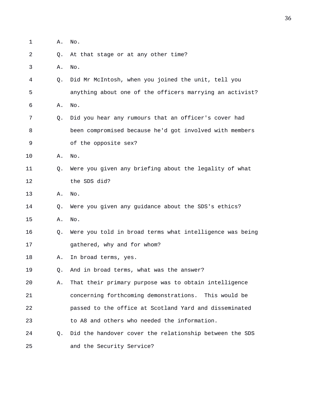| 1  | Α. | No.                                                      |
|----|----|----------------------------------------------------------|
| 2  | Q. | At that stage or at any other time?                      |
| 3  | Α. | No.                                                      |
| 4  | Q. | Did Mr McIntosh, when you joined the unit, tell you      |
| 5  |    | anything about one of the officers marrying an activist? |
| 6  | Α. | No.                                                      |
| 7  | Q. | Did you hear any rumours that an officer's cover had     |
| 8  |    | been compromised because he'd got involved with members  |
| 9  |    | of the opposite sex?                                     |
| 10 | Α. | No.                                                      |
| 11 | Q. | Were you given any briefing about the legality of what   |
| 12 |    | the SDS did?                                             |
| 13 | Α. | No.                                                      |
| 14 | Q. | Were you given any guidance about the SDS's ethics?      |
| 15 | Α. | No.                                                      |
| 16 | Q. | Were you told in broad terms what intelligence was being |
| 17 |    | gathered, why and for whom?                              |
| 18 | Α. | In broad terms, yes.                                     |
| 19 | Q. | And in broad terms, what was the answer?                 |
| 20 | Α. | That their primary purpose was to obtain intelligence    |
| 21 |    | concerning forthcoming demonstrations. This would be     |
| 22 |    | passed to the office at Scotland Yard and disseminated   |
| 23 |    | to A8 and others who needed the information.             |
| 24 | Q. | Did the handover cover the relationship between the SDS  |
| 25 |    | and the Security Service?                                |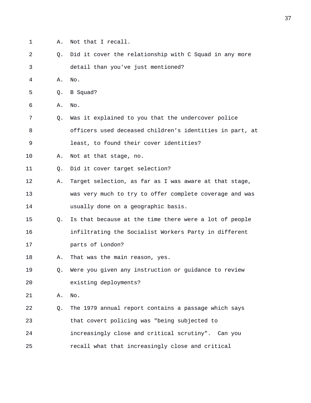- 1 A. Not that I recall.
- 2 Q. Did it cover the relationship with C Squad in any more 3 detail than you've just mentioned?
- 4 A. No.
- 5 Q. B Squad?
- 6 A. No.
- 7 Q. Was it explained to you that the undercover police 8 officers used deceased children's identities in part, at
- 9 least, to found their cover identities?
- 10 A. Not at that stage, no.
- 11 0. Did it cover target selection?
- 12 A. Target selection, as far as I was aware at that stage, 13 was very much to try to offer complete coverage and was 14 usually done on a geographic basis.
- 15 Q. Is that because at the time there were a lot of people 16 infiltrating the Socialist Workers Party in different 17 parts of London?
- 18 A. That was the main reason, yes.
- 19 Q. Were you given any instruction or guidance to review 20 existing deployments?
- 21 A. No.
- 22 Q. The 1979 annual report contains a passage which says 23 that covert policing was "being subjected to 24 increasingly close and critical scrutiny". Can you 25 recall what that increasingly close and critical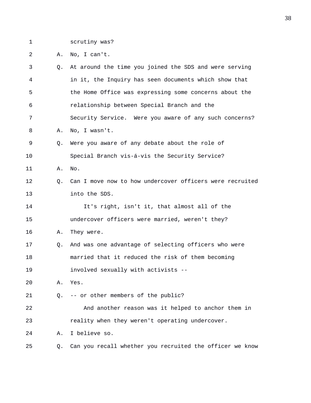1 scrutiny was?

2 A. No, I can't.

| 3  | Q. | At around the time you joined the SDS and were serving   |
|----|----|----------------------------------------------------------|
| 4  |    | in it, the Inquiry has seen documents which show that    |
| 5  |    | the Home Office was expressing some concerns about the   |
| 6  |    | relationship between Special Branch and the              |
| 7  |    | Security Service. Were you aware of any such concerns?   |
| 8  | Α. | No, I wasn't.                                            |
| 9  | Q. | Were you aware of any debate about the role of           |
| 10 |    | Special Branch vis-á-vis the Security Service?           |
| 11 | Α. | No.                                                      |
| 12 | Q. | Can I move now to how undercover officers were recruited |
| 13 |    | into the SDS.                                            |
| 14 |    | It's right, isn't it, that almost all of the             |
| 15 |    | undercover officers were married, weren't they?          |
| 16 | Α. | They were.                                               |
| 17 | Q. | And was one advantage of selecting officers who were     |
| 18 |    | married that it reduced the risk of them becoming        |
| 19 |    | involved sexually with activists --                      |
| 20 | Α. | Yes.                                                     |
| 21 | О. | -- or other members of the public?                       |
| 22 |    | And another reason was it helped to anchor them in       |
| 23 |    | reality when they weren't operating undercover.          |
| 24 | Α. | I believe so.                                            |
| 25 | Q. | Can you recall whether you recruited the officer we know |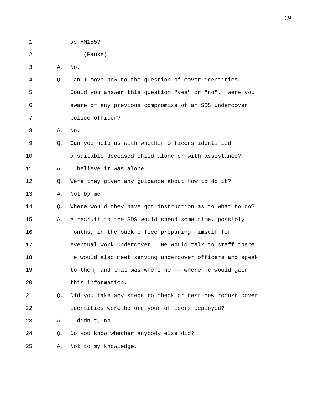1 as HN155?

2 (Pause)

3 A. No.

4 Q. Can I move now to the question of cover identities. 5 Could you answer this question "yes" or "no". Were you 6 aware of any previous compromise of an SDS undercover 7 police officer?

8 A. No.

- 9 Q. Can you help us with whether officers identified 10 a suitable deceased child alone or with assistance?
- 11 A. I believe it was alone.
- 12 Q. Were they given any guidance about how to do it?
- 13 A. Not by me.
- 14 Q. Where would they have got instruction as to what to do? 15 A. A recruit to the SDS would spend some time, possibly 16 months, in the back office preparing himself for 17 eventual work undercover. He would talk to staff there. 18 He would also meet serving undercover officers and speak 19 to them, and that was where he -- where he would gain 20 this information.
- 21 Q. Did you take any steps to check or test how robust cover 22 identities were before your officers deployed?
- 23 A. I didn't, no.
- 24 Q. Do you know whether anybody else did?

25 A. Not to my knowledge.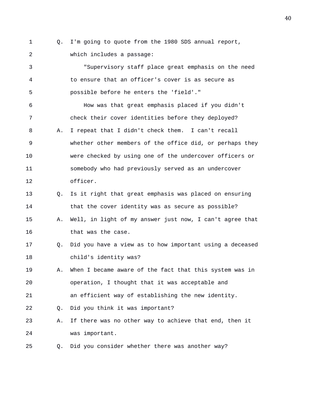1 Q. I'm going to quote from the 1980 SDS annual report, 2 which includes a passage:

3 "Supervisory staff place great emphasis on the need 4 to ensure that an officer's cover is as secure as 5 possible before he enters the 'field'." 6 How was that great emphasis placed if you didn't

7 check their cover identities before they deployed? 8 A. I repeat that I didn't check them. I can't recall 9 whether other members of the office did, or perhaps they 10 were checked by using one of the undercover officers or 11 somebody who had previously served as an undercover 12 officer.

13 Q. Is it right that great emphasis was placed on ensuring 14 that the cover identity was as secure as possible?

15 A. Well, in light of my answer just now, I can't agree that 16 that was the case.

17 Q. Did you have a view as to how important using a deceased 18 child's identity was?

19 A. When I became aware of the fact that this system was in 20 operation, I thought that it was acceptable and

21 an efficient way of establishing the new identity.

22 Q. Did you think it was important?

23 A. If there was no other way to achieve that end, then it 24 was important.

25 Q. Did you consider whether there was another way?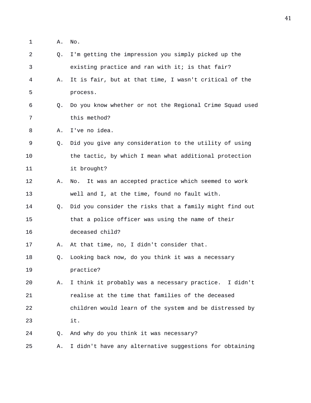1 A. No.

| 2  | Q. | I'm getting the impression you simply picked up the      |
|----|----|----------------------------------------------------------|
| 3  |    | existing practice and ran with it; is that fair?         |
| 4  | Α. | It is fair, but at that time, I wasn't critical of the   |
| 5  |    | process.                                                 |
| 6  | O. | Do you know whether or not the Regional Crime Squad used |
| 7  |    | this method?                                             |
| 8  | Α. | I've no idea.                                            |
| 9  | Q. | Did you give any consideration to the utility of using   |
| 10 |    | the tactic, by which I mean what additional protection   |
| 11 |    | it brought?                                              |
| 12 | Α. | It was an accepted practice which seemed to work<br>No.  |
| 13 |    | well and I, at the time, found no fault with.            |
| 14 | Q. | Did you consider the risks that a family might find out  |
| 15 |    | that a police officer was using the name of their        |
| 16 |    | deceased child?                                          |
| 17 | Α. | At that time, no, I didn't consider that.                |
| 18 | Q. | Looking back now, do you think it was a necessary        |
| 19 |    | practice?                                                |
| 20 | Α. | I think it probably was a necessary practice. I didn't   |
| 21 |    | realise at the time that families of the deceased        |
| 22 |    | children would learn of the system and be distressed by  |
| 23 |    | it.                                                      |
| 24 | Q. | And why do you think it was necessary?                   |
| 25 | Α. | I didn't have any alternative suggestions for obtaining  |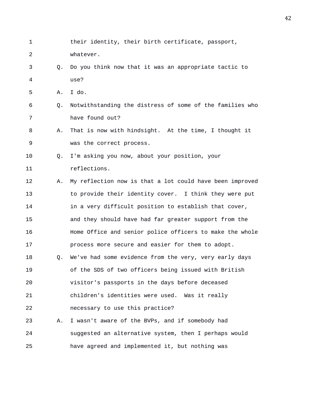1 their identity, their birth certificate, passport, 2 whatever. 3 Q. Do you think now that it was an appropriate tactic to 4 use? 5 A. I do. 6 Q. Notwithstanding the distress of some of the families who 7 have found out? 8 A. That is now with hindsight. At the time, I thought it 9 was the correct process. 10 Q. I'm asking you now, about your position, your 11 reflections. 12 A. My reflection now is that a lot could have been improved 13 to provide their identity cover. I think they were put 14 in a very difficult position to establish that cover, 15 and they should have had far greater support from the 16 Home Office and senior police officers to make the whole 17 process more secure and easier for them to adopt. 18 Q. We've had some evidence from the very, very early days 19 of the SDS of two officers being issued with British 20 visitor's passports in the days before deceased 21 children's identities were used. Was it really 22 necessary to use this practice? 23 A. I wasn't aware of the BVPs, and if somebody had 24 suggested an alternative system, then I perhaps would 25 have agreed and implemented it, but nothing was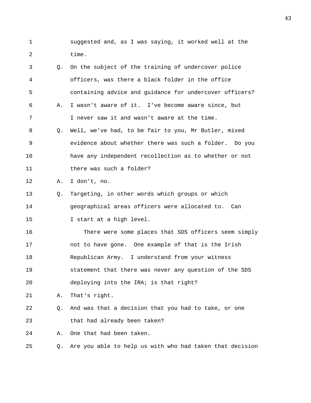1 suggested and, as I was saying, it worked well at the 2 time.

| 3  | Q. | On the subject of the training of undercover police      |
|----|----|----------------------------------------------------------|
| 4  |    | officers, was there a black folder in the office         |
| 5  |    | containing advice and guidance for undercover officers?  |
| 6  | Α. | I wasn't aware of it. I've become aware since, but       |
| 7  |    | I never saw it and wasn't aware at the time.             |
| 8  | Q. | Well, we've had, to be fair to you, Mr Butler, mixed     |
| 9  |    | evidence about whether there was such a folder. Do you   |
| 10 |    | have any independent recollection as to whether or not   |
| 11 |    | there was such a folder?                                 |
| 12 | Α. | I don't, no.                                             |
| 13 | Q. | Targeting, in other words which groups or which          |
| 14 |    | geographical areas officers were allocated to. Can       |
| 15 |    | I start at a high level.                                 |
| 16 |    | There were some places that SDS officers seem simply     |
| 17 |    | not to have gone. One example of that is the Irish       |
| 18 |    | Republican Army. I understand from your witness          |
| 19 |    | statement that there was never any question of the SDS   |
| 20 |    | deploying into the IRA; is that right?                   |
| 21 | Α. | That's right.                                            |
| 22 | Q. | And was that a decision that you had to take, or one     |
| 23 |    | that had already been taken?                             |
| 24 | Α. | One that had been taken.                                 |
| 25 | Q. | Are you able to help us with who had taken that decision |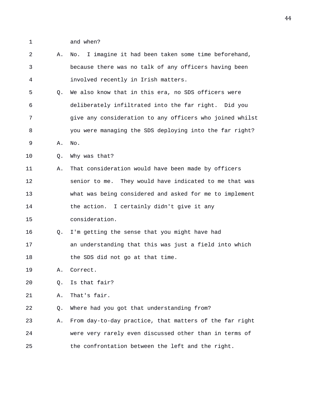- 1 and when?
- 2 A. No. I imagine it had been taken some time beforehand, 3 because there was no talk of any officers having been 4 involved recently in Irish matters. 5 Q. We also know that in this era, no SDS officers were 6 deliberately infiltrated into the far right. Did you 7 give any consideration to any officers who joined whilst 8 you were managing the SDS deploying into the far right? 9 A. No. 10 Q. Why was that? 11 A. That consideration would have been made by officers 12 senior to me. They would have indicated to me that was 13 what was being considered and asked for me to implement 14 the action. I certainly didn't give it any 15 consideration. 16 Q. I'm getting the sense that you might have had 17 an understanding that this was just a field into which 18 the SDS did not go at that time. 19 A. Correct. 20 Q. Is that fair? 21 A. That's fair. 22 Q. Where had you got that understanding from? 23 A. From day-to-day practice, that matters of the far right 24 were very rarely even discussed other than in terms of 25 the confrontation between the left and the right.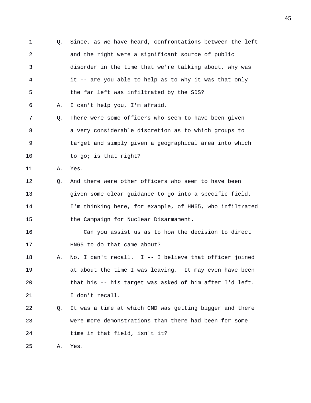1 Q. Since, as we have heard, confrontations between the left 2 and the right were a significant source of public 3 disorder in the time that we're talking about, why was 4 it -- are you able to help as to why it was that only 5 the far left was infiltrated by the SDS? 6 A. I can't help you, I'm afraid. 7 Q. There were some officers who seem to have been given 8 a very considerable discretion as to which groups to 9 target and simply given a geographical area into which 10 to go; is that right? 11 A. Yes. 12 Q. And there were other officers who seem to have been 13 given some clear guidance to go into a specific field. 14 I'm thinking here, for example, of HN65, who infiltrated 15 the Campaign for Nuclear Disarmament. 16 Can you assist us as to how the decision to direct 17 HN65 to do that came about? 18 A. No, I can't recall. I -- I believe that officer joined 19 at about the time I was leaving. It may even have been 20 that his -- his target was asked of him after I'd left. 21 I don't recall. 22 Q. It was a time at which CND was getting bigger and there 23 were more demonstrations than there had been for some 24 time in that field, isn't it? 25 A. Yes.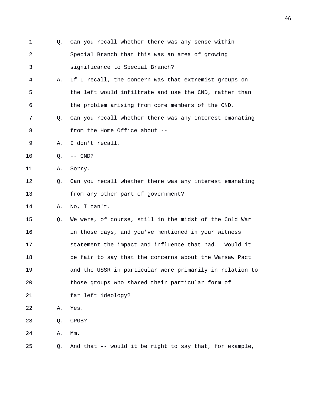1 Q. Can you recall whether there was any sense within 2 Special Branch that this was an area of growing 3 significance to Special Branch? 4 A. If I recall, the concern was that extremist groups on 5 the left would infiltrate and use the CND, rather than 6 the problem arising from core members of the CND. 7 Q. Can you recall whether there was any interest emanating 8 from the Home Office about --9 A. I don't recall. 10 Q. -- CND? 11 A. Sorry. 12 Q. Can you recall whether there was any interest emanating 13 from any other part of government? 14 A. No, I can't. 15 Q. We were, of course, still in the midst of the Cold War 16 in those days, and you've mentioned in your witness 17 statement the impact and influence that had. Would it 18 be fair to say that the concerns about the Warsaw Pact 19 and the USSR in particular were primarily in relation to 20 those groups who shared their particular form of 21 far left ideology? 22 A. Yes. 23 Q. CPGB? 24 A. Mm. 25 Q. And that -- would it be right to say that, for example,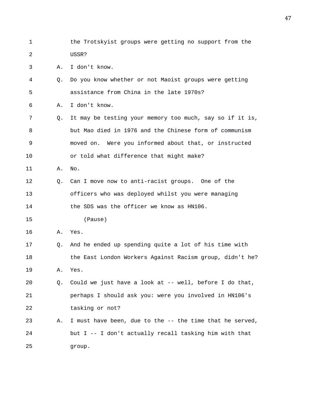1 the Trotskyist groups were getting no support from the 2 USSR?

3 A. I don't know.

4 Q. Do you know whether or not Maoist groups were getting 5 assistance from China in the late 1970s?

6 A. I don't know.

7 Q. It may be testing your memory too much, say so if it is, 8 but Mao died in 1976 and the Chinese form of communism 9 moved on. Were you informed about that, or instructed 10 or told what difference that might make?

11 A. No.

12 Q. Can I move now to anti-racist groups. One of the 13 officers who was deployed whilst you were managing 14 the SDS was the officer we know as HN106.

15 (Pause)

16 A. Yes.

17 Q. And he ended up spending quite a lot of his time with 18 the East London Workers Against Racism group, didn't he? 19 A. Yes.

- 20 Q. Could we just have a look at -- well, before I do that, 21 perhaps I should ask you: were you involved in HN106's 22 tasking or not?
- 23 A. I must have been, due to the -- the time that he served, 24 but I -- I don't actually recall tasking him with that 25 group.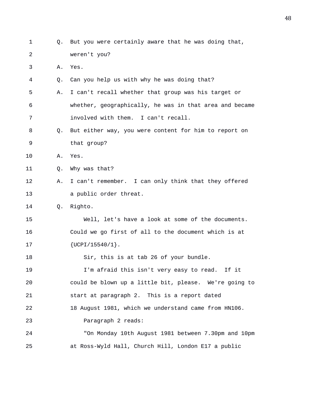1 Q. But you were certainly aware that he was doing that, 2 weren't you? 3 A. Yes. 4 Q. Can you help us with why he was doing that? 5 A. I can't recall whether that group was his target or 6 whether, geographically, he was in that area and became 7 involved with them. I can't recall. 8 Q. But either way, you were content for him to report on 9 that group? 10 A. Yes. 11 0. Why was that? 12 A. I can't remember. I can only think that they offered 13 a public order threat. 14 Q. Righto. 15 Well, let's have a look at some of the documents. 16 Could we go first of all to the document which is at 17 {UCPI/15540/1}. 18 Sir, this is at tab 26 of your bundle. 19 I'm afraid this isn't very easy to read. If it 20 could be blown up a little bit, please. We're going to 21 start at paragraph 2. This is a report dated 22 18 August 1981, which we understand came from HN106. 23 Paragraph 2 reads: 24 "On Monday 10th August 1981 between 7.30pm and 10pm 25 at Ross-Wyld Hall, Church Hill, London E17 a public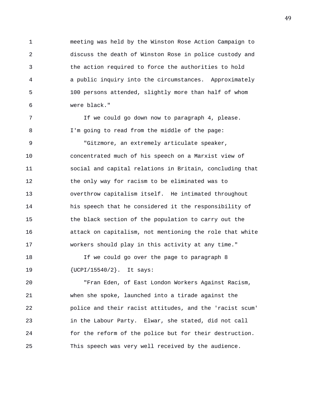1 meeting was held by the Winston Rose Action Campaign to 2 discuss the death of Winston Rose in police custody and 3 the action required to force the authorities to hold 4 a public inquiry into the circumstances. Approximately 5 100 persons attended, slightly more than half of whom 6 were black."

7 If we could go down now to paragraph 4, please. 8 I'm going to read from the middle of the page: 9 "Gitzmore, an extremely articulate speaker, 10 concentrated much of his speech on a Marxist view of 11 social and capital relations in Britain, concluding that 12 the only way for racism to be eliminated was to 13 overthrow capitalism itself. He intimated throughout 14 his speech that he considered it the responsibility of 15 the black section of the population to carry out the 16 attack on capitalism, not mentioning the role that white 17 workers should play in this activity at any time."

18 If we could go over the page to paragraph 8 19 {UCPI/15540/2}. It says:

20 "Fran Eden, of East London Workers Against Racism, 21 when she spoke, launched into a tirade against the 22 police and their racist attitudes, and the 'racist scum' 23 in the Labour Party. Elwar, she stated, did not call 24 for the reform of the police but for their destruction. 25 This speech was very well received by the audience.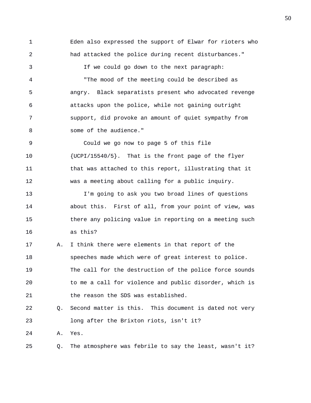1 Eden also expressed the support of Elwar for rioters who 2 had attacked the police during recent disturbances." 3 If we could go down to the next paragraph: 4 "The mood of the meeting could be described as 5 angry. Black separatists present who advocated revenge 6 attacks upon the police, while not gaining outright 7 support, did provoke an amount of quiet sympathy from 8 some of the audience." 9 Could we go now to page 5 of this file 10 {UCPI/15540/5}. That is the front page of the flyer 11 that was attached to this report, illustrating that it 12 was a meeting about calling for a public inquiry. 13 I'm going to ask you two broad lines of questions 14 about this. First of all, from your point of view, was 15 there any policing value in reporting on a meeting such 16 as this? 17 A. I think there were elements in that report of the 18 speeches made which were of great interest to police. 19 The call for the destruction of the police force sounds 20 to me a call for violence and public disorder, which is 21 the reason the SDS was established. 22 Q. Second matter is this. This document is dated not very 23 long after the Brixton riots, isn't it? 24 A. Yes.

25 Q. The atmosphere was febrile to say the least, wasn't it?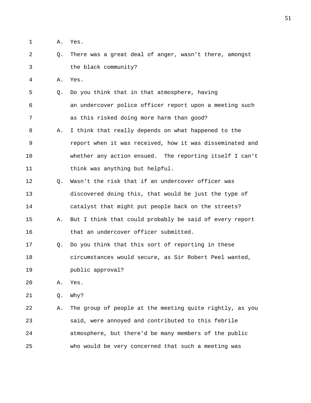- 1 A. Yes.
- 2 Q. There was a great deal of anger, wasn't there, amongst 3 the black community?

4 A. Yes.

5 Q. Do you think that in that atmosphere, having 6 an undercover police officer report upon a meeting such 7 as this risked doing more harm than good?

- 8 A. I think that really depends on what happened to the 9 report when it was received, how it was disseminated and 10 whether any action ensued. The reporting itself I can't 11 think was anything but helpful.
- 12 Q. Wasn't the risk that if an undercover officer was 13 discovered doing this, that would be just the type of 14 catalyst that might put people back on the streets? 15 A. But I think that could probably be said of every report
- 16 that an undercover officer submitted.
- 17 Q. Do you think that this sort of reporting in these 18 circumstances would secure, as Sir Robert Peel wanted, 19 public approval?
- 20 A. Yes.
- 21 Q. Why?

22 A. The group of people at the meeting quite rightly, as you 23 said, were annoyed and contributed to this febrile 24 atmosphere, but there'd be many members of the public 25 who would be very concerned that such a meeting was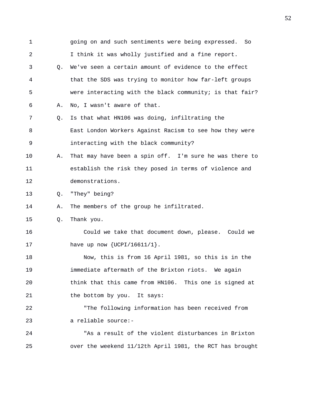1 going on and such sentiments were being expressed. So 2 I think it was wholly justified and a fine report. 3 Q. We've seen a certain amount of evidence to the effect 4 that the SDS was trying to monitor how far-left groups 5 were interacting with the black community; is that fair? 6 A. No, I wasn't aware of that. 7 Q. Is that what HN106 was doing, infiltrating the 8 East London Workers Against Racism to see how they were 9 interacting with the black community? 10 A. That may have been a spin off. I'm sure he was there to 11 establish the risk they posed in terms of violence and 12 demonstrations. 13 Q. "They" being? 14 A. The members of the group he infiltrated. 15 Q. Thank you. 16 Could we take that document down, please. Could we 17 have up now {UCPI/16611/1}. 18 Now, this is from 16 April 1981, so this is in the 19 immediate aftermath of the Brixton riots. We again 20 think that this came from HN106. This one is signed at 21 the bottom by you. It says: 22 "The following information has been received from 23 a reliable source:- 24 "As a result of the violent disturbances in Brixton 25 over the weekend 11/12th April 1981, the RCT has brought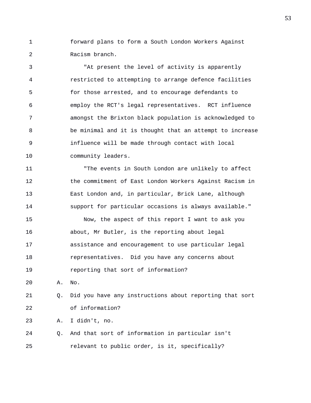1 forward plans to form a South London Workers Against 2 Racism branch.

3 "At present the level of activity is apparently 4 restricted to attempting to arrange defence facilities 5 for those arrested, and to encourage defendants to 6 employ the RCT's legal representatives. RCT influence 7 amongst the Brixton black population is acknowledged to 8 be minimal and it is thought that an attempt to increase 9 influence will be made through contact with local 10 community leaders.

11 "The events in South London are unlikely to affect 12 the commitment of East London Workers Against Racism in 13 East London and, in particular, Brick Lane, although 14 support for particular occasions is always available."

15 Now, the aspect of this report I want to ask you 16 about, Mr Butler, is the reporting about legal 17 assistance and encouragement to use particular legal 18 representatives. Did you have any concerns about 19 reporting that sort of information?

20 A. No.

21 Q. Did you have any instructions about reporting that sort 22 of information?

23 A. I didn't, no.

24 Q. And that sort of information in particular isn't 25 relevant to public order, is it, specifically?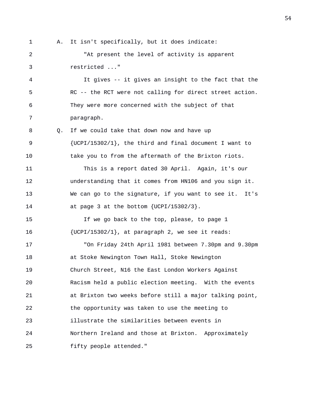1 A. It isn't specifically, but it does indicate: 2 "At present the level of activity is apparent 3 restricted ..." 4 It gives -- it gives an insight to the fact that the 5 RC -- the RCT were not calling for direct street action. 6 They were more concerned with the subject of that 7 paragraph. 8 Q. If we could take that down now and have up 9 {UCPI/15302/1}, the third and final document I want to 10 take you to from the aftermath of the Brixton riots. 11 This is a report dated 30 April. Again, it's our 12 understanding that it comes from HN106 and you sign it. 13 We can go to the signature, if you want to see it. It's 14 at page 3 at the bottom {UCPI/15302/3}. 15 If we go back to the top, please, to page 1 16 {UCPI/15302/1}, at paragraph 2, we see it reads: 17 "On Friday 24th April 1981 between 7.30pm and 9.30pm 18 at Stoke Newington Town Hall, Stoke Newington 19 Church Street, N16 the East London Workers Against 20 Racism held a public election meeting. With the events 21 at Brixton two weeks before still a major talking point, 22 the opportunity was taken to use the meeting to 23 illustrate the similarities between events in 24 Northern Ireland and those at Brixton. Approximately 25 fifty people attended."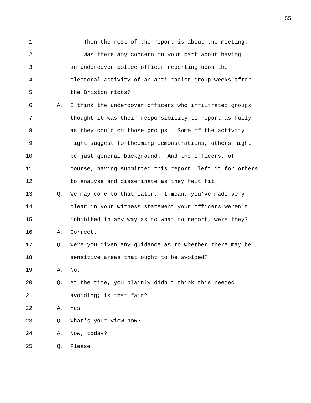1 Then the rest of the report is about the meeting. 2 Was there any concern on your part about having 3 an undercover police officer reporting upon the 4 electoral activity of an anti-racist group weeks after 5 the Brixton riots?

6 A. I think the undercover officers who infiltrated groups 7 thought it was their responsibility to report as fully 8 as they could on those groups. Some of the activity 9 might suggest forthcoming demonstrations, others might 10 be just general background. And the officers, of 11 course, having submitted this report, left it for others 12 to analyse and disseminate as they felt fit. 13 Q. We may come to that later. I mean, you've made very 14 clear in your witness statement your officers weren't

15 inhibited in any way as to what to report, were they? 16 A. Correct.

17 Q. Were you given any guidance as to whether there may be 18 sensitive areas that ought to be avoided?

19 A. No.

20 Q. At the time, you plainly didn't think this needed 21 avoiding; is that fair?

22 A. Yes.

23 Q. What's your view now?

24 A. Now, today?

25 Q. Please.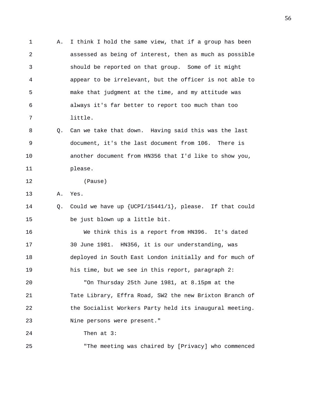1 A. I think I hold the same view, that if a group has been 2 assessed as being of interest, then as much as possible 3 should be reported on that group. Some of it might 4 appear to be irrelevant, but the officer is not able to 5 make that judgment at the time, and my attitude was 6 always it's far better to report too much than too 7 little. 8 Q. Can we take that down. Having said this was the last 9 document, it's the last document from 106. There is 10 another document from HN356 that I'd like to show you, 11 please. 12 (Pause) 13 A. Yes. 14 Q. Could we have up {UCPI/15441/1}, please. If that could 15 be just blown up a little bit. 16 We think this is a report from HN396. It's dated 17 30 June 1981. HN356, it is our understanding, was 18 deployed in South East London initially and for much of 19 his time, but we see in this report, paragraph 2: 20 "On Thursday 25th June 1981, at 8.15pm at the 21 Tate Library, Effra Road, SW2 the new Brixton Branch of 22 the Socialist Workers Party held its inaugural meeting. 23 Nine persons were present." 24 Then at 3: 25 "The meeting was chaired by [Privacy] who commenced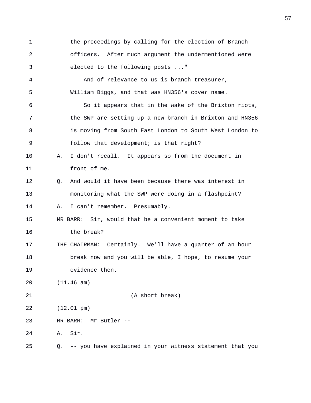1 the proceedings by calling for the election of Branch 2 officers. After much argument the undermentioned were 3 elected to the following posts ..." 4 And of relevance to us is branch treasurer, 5 William Biggs, and that was HN356's cover name. 6 So it appears that in the wake of the Brixton riots, 7 the SWP are setting up a new branch in Brixton and HN356 8 is moving from South East London to South West London to 9 follow that development; is that right? 10 A. I don't recall. It appears so from the document in 11 front of me. 12 Q. And would it have been because there was interest in 13 monitoring what the SWP were doing in a flashpoint? 14 A. I can't remember. Presumably. 15 MR BARR: Sir, would that be a convenient moment to take 16 the break? 17 THE CHAIRMAN: Certainly. We'll have a quarter of an hour 18 break now and you will be able, I hope, to resume your 19 evidence then. 20 (11.46 am) 21 (A short break) 22 (12.01 pm) 23 MR BARR: Mr Butler -- 24 A. Sir. 25 Q. -- you have explained in your witness statement that you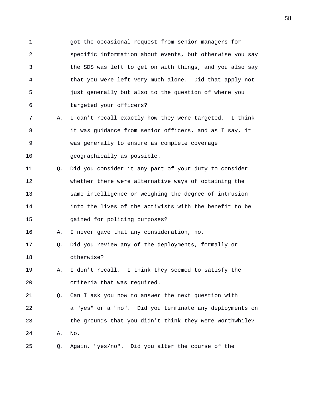1 got the occasional request from senior managers for 2 specific information about events, but otherwise you say 3 the SDS was left to get on with things, and you also say 4 that you were left very much alone. Did that apply not 5 just generally but also to the question of where you 6 targeted your officers?

- 7 A. I can't recall exactly how they were targeted. I think 8 it was guidance from senior officers, and as I say, it 9 was generally to ensure as complete coverage 10 geographically as possible.
- 11 Q. Did you consider it any part of your duty to consider 12 whether there were alternative ways of obtaining the 13 same intelligence or weighing the degree of intrusion 14 into the lives of the activists with the benefit to be 15 gained for policing purposes?

16 A. I never gave that any consideration, no.

- 17 Q. Did you review any of the deployments, formally or 18 otherwise?
- 19 A. I don't recall. I think they seemed to satisfy the 20 criteria that was required.

21 Q. Can I ask you now to answer the next question with 22 a "yes" or a "no". Did you terminate any deployments on 23 the grounds that you didn't think they were worthwhile? 24 A. No.

25 Q. Again, "yes/no". Did you alter the course of the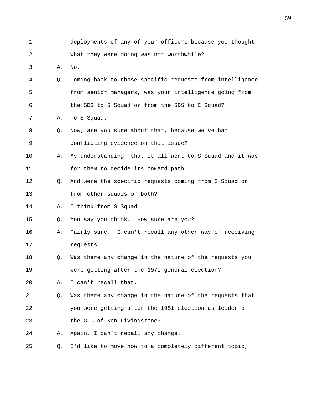1 deployments of any of your officers because you thought 2 what they were doing was not worthwhile? 3 A. No. 4 Q. Coming back to those specific requests from intelligence 5 from senior managers, was your intelligence going from 6 the SDS to S Squad or from the SDS to C Squad? 7 A. To S Squad. 8 Q. Now, are you sure about that, because we've had 9 conflicting evidence on that issue? 10 A. My understanding, that it all went to S Squad and it was 11 for them to decide its onward path. 12 Q. And were the specific requests coming from S Squad or 13 from other squads or both? 14 A. I think from S Squad. 15 Q. You say you think. How sure are you? 16 A. Fairly sure. I can't recall any other way of receiving 17 requests. 18 Q. Was there any change in the nature of the requests you 19 were getting after the 1979 general election? 20 A. I can't recall that. 21 Q. Was there any change in the nature of the requests that 22 you were getting after the 1981 election as leader of 23 the GLC of Ken Livingstone? 24 A. Again, I can't recall any change. 25 Q. I'd like to move now to a completely different topic,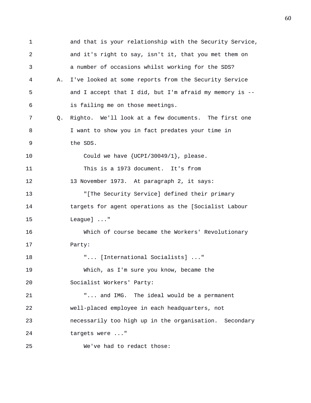1 and that is your relationship with the Security Service, 2 and it's right to say, isn't it, that you met them on 3 a number of occasions whilst working for the SDS? 4 A. I've looked at some reports from the Security Service 5 and I accept that I did, but I'm afraid my memory is -- 6 is failing me on those meetings. 7 Q. Righto. We'll look at a few documents. The first one 8 I want to show you in fact predates your time in 9 the SDS. 10 Could we have {UCPI/30049/1}, please. 11 This is a 1973 document. It's from 12 13 November 1973. At paragraph 2, it says: 13 "[The Security Service] defined their primary 14 targets for agent operations as the [Socialist Labour 15 League] ..." 16 Which of course became the Workers' Revolutionary 17 Party: 18 "... [International Socialists] ..." 19 Which, as I'm sure you know, became the 20 Socialist Workers' Party: 21 "... and IMG. The ideal would be a permanent 22 well-placed employee in each headquarters, not 23 necessarily too high up in the organisation. Secondary 24 targets were ..." 25 We've had to redact those: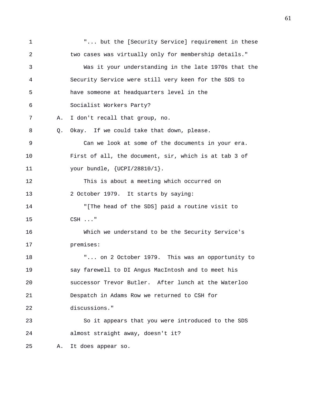1 "... but the [Security Service] requirement in these 2 two cases was virtually only for membership details." 3 Was it your understanding in the late 1970s that the 4 Security Service were still very keen for the SDS to 5 have someone at headquarters level in the 6 Socialist Workers Party? 7 A. I don't recall that group, no. 8 Q. Okay. If we could take that down, please. 9 Can we look at some of the documents in your era. 10 First of all, the document, sir, which is at tab 3 of 11 your bundle, {UCPI/28810/1}. 12 This is about a meeting which occurred on 13 2 October 1979. It starts by saying: 14 "[The head of the SDS] paid a routine visit to 15 CSH ..." 16 Which we understand to be the Security Service's 17 premises: 18 "... on 2 October 1979. This was an opportunity to 19 say farewell to DI Angus MacIntosh and to meet his 20 successor Trevor Butler. After lunch at the Waterloo 21 Despatch in Adams Row we returned to CSH for 22 discussions." 23 So it appears that you were introduced to the SDS 24 almost straight away, doesn't it? 25 A. It does appear so.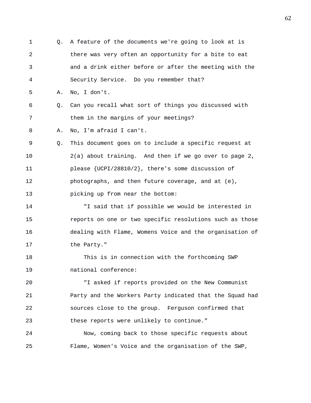1 Q. A feature of the documents we're going to look at is 2 there was very often an opportunity for a bite to eat 3 and a drink either before or after the meeting with the 4 Security Service. Do you remember that? 5 A. No, I don't. 6 Q. Can you recall what sort of things you discussed with 7 them in the margins of your meetings? 8 A. No, I'm afraid I can't. 9 Q. This document goes on to include a specific request at 10 2(a) about training. And then if we go over to page 2, 11 please {UCPI/28810/2}, there's some discussion of 12 photographs, and then future coverage, and at (e), 13 picking up from near the bottom: 14 "I said that if possible we would be interested in 15 reports on one or two specific resolutions such as those 16 dealing with Flame, Womens Voice and the organisation of 17 the Party." 18 This is in connection with the forthcoming SWP 19 national conference: 20 "I asked if reports provided on the New Communist 21 Party and the Workers Party indicated that the Squad had 22 sources close to the group. Ferguson confirmed that 23 these reports were unlikely to continue." 24 Now, coming back to those specific requests about

25 Flame, Women's Voice and the organisation of the SWP,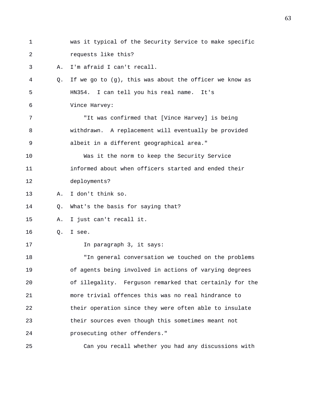| $\mathbf 1$ |    | was it typical of the Security Service to make specific   |
|-------------|----|-----------------------------------------------------------|
| 2           |    | requests like this?                                       |
| 3           | Α. | I'm afraid I can't recall.                                |
| 4           | Q. | If we go to $(g)$ , this was about the officer we know as |
| 5           |    | HN354. I can tell you his real name. It's                 |
| 6           |    | Vince Harvey:                                             |
| 7           |    | "It was confirmed that [Vince Harvey] is being            |
| 8           |    | withdrawn. A replacement will eventually be provided      |
| 9           |    | albeit in a different geographical area."                 |
| 10          |    | Was it the norm to keep the Security Service              |
| 11          |    | informed about when officers started and ended their      |
| 12          |    | deployments?                                              |
| 13          | Α. | I don't think so.                                         |
| 14          | Q. | What's the basis for saying that?                         |
| 15          | Α. | I just can't recall it.                                   |
| 16          | Q. | I see.                                                    |
| 17          |    | In paragraph 3, it says:                                  |
| 18          |    | "In general conversation we touched on the problems       |
| 19          |    | of agents being involved in actions of varying degrees    |
| 20          |    | of illegality. Ferguson remarked that certainly for the   |
| 21          |    | more trivial offences this was no real hindrance to       |
| 22          |    | their operation since they were often able to insulate    |
| 23          |    | their sources even though this sometimes meant not        |
| 24          |    | prosecuting other offenders."                             |
| 25          |    | Can you recall whether you had any discussions with       |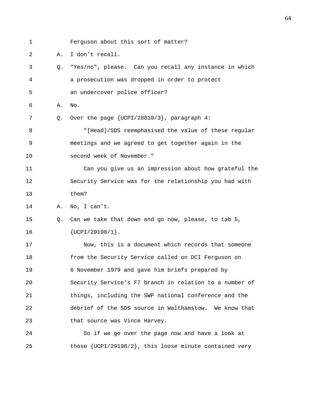1 Ferguson about this sort of matter?

2 A. I don't recall.

3 Q. "Yes/no", please. Can you recall any instance in which 4 a prosecution was dropped in order to protect

5 an undercover police officer?

6 A. No.

7 Q. Over the page {UCPI/28810/3}, paragraph 4:

8 "[Head]/SDS reemphasised the value of these regular 9 meetings and we agreed to get together again in the 10 second week of November."

11 Can you give us an impression about how grateful the 12 Security Service was for the relationship you had with 13 them?

14 A. No, I can't.

15 Q. Can we take that down and go now, please, to tab 5, 16 {UCPI/29198/1}.

17 Now, this is a document which records that someone 18 from the Security Service called on DCI Ferguson on 19 6 November 1979 and gave him briefs prepared by 20 Security Service's F7 branch in relation to a number of 21 things, including the SWP national conference and the 22 debrief of the SDS source in Walthamstow. We know that 23 that source was Vince Harvey.

24 So if we go over the page now and have a look at 25 those {UCPI/29198/2}, this loose minute contained very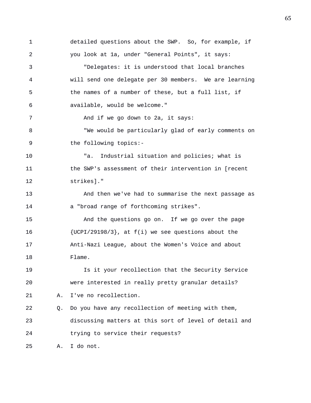1 detailed questions about the SWP. So, for example, if 2 you look at 1a, under "General Points", it says: 3 "Delegates: it is understood that local branches 4 will send one delegate per 30 members. We are learning 5 the names of a number of these, but a full list, if 6 available, would be welcome." 7 And if we go down to 2a, it says: 8 "We would be particularly glad of early comments on 9 the following topics:- 10 "a. Industrial situation and policies; what is 11 the SWP's assessment of their intervention in [recent 12 strikes]." 13 And then we've had to summarise the next passage as 14 a "broad range of forthcoming strikes". 15 And the questions go on. If we go over the page 16 {UCPI/29198/3}, at f(i) we see questions about the 17 Anti-Nazi League, about the Women's Voice and about 18 Flame. 19 Is it your recollection that the Security Service 20 were interested in really pretty granular details? 21 A. I've no recollection. 22 Q. Do you have any recollection of meeting with them, 23 discussing matters at this sort of level of detail and 24 trying to service their requests? 25 A. I do not.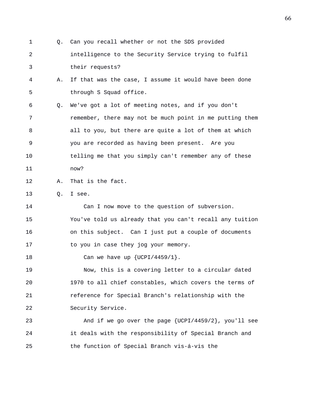1 Q. Can you recall whether or not the SDS provided 2 intelligence to the Security Service trying to fulfil 3 their requests? 4 A. If that was the case, I assume it would have been done 5 through S Squad office. 6 Q. We've got a lot of meeting notes, and if you don't 7 remember, there may not be much point in me putting them 8 all to you, but there are quite a lot of them at which 9 you are recorded as having been present. Are you 10 telling me that you simply can't remember any of these 11 now? 12 A. That is the fact. 13 Q. I see. 14 Can I now move to the question of subversion. 15 You've told us already that you can't recall any tuition 16 on this subject. Can I just put a couple of documents 17 to you in case they jog your memory. 18 Can we have up  $\{UCPI/4459/1\}$ . 19 Now, this is a covering letter to a circular dated 20 1970 to all chief constables, which covers the terms of 21 reference for Special Branch's relationship with the 22 Security Service. 23 And if we go over the page {UCPI/4459/2}, you'll see 24 it deals with the responsibility of Special Branch and 25 the function of Special Branch vis-á-vis the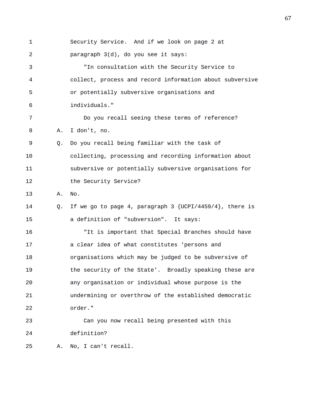1 Security Service. And if we look on page 2 at 2 paragraph 3(d), do you see it says: 3 "In consultation with the Security Service to 4 collect, process and record information about subversive 5 or potentially subversive organisations and 6 individuals." 7 Do you recall seeing these terms of reference? 8 A. I don't, no. 9 Q. Do you recall being familiar with the task of 10 collecting, processing and recording information about 11 subversive or potentially subversive organisations for 12 the Security Service? 13 A. No. 14 Q. If we go to page 4, paragraph 3 {UCPI/4459/4}, there is 15 a definition of "subversion". It says: 16 "It is important that Special Branches should have 17 a clear idea of what constitutes 'persons and 18 organisations which may be judged to be subversive of 19 the security of the State'. Broadly speaking these are 20 any organisation or individual whose purpose is the 21 undermining or overthrow of the established democratic 22 order." 23 Can you now recall being presented with this 24 definition? 25 A. No, I can't recall.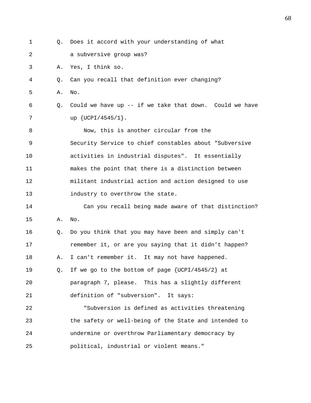| 1  | 0. | Does it accord with your understanding of what           |
|----|----|----------------------------------------------------------|
| 2  |    | a subversive group was?                                  |
| 3  | Α. | Yes, I think so.                                         |
| 4  | Q. | Can you recall that definition ever changing?            |
| 5  | Α. | No.                                                      |
| 6  | Q. | Could we have up $-$ if we take that down. Could we have |
| 7  |    | up {UCPI/4545/1}.                                        |
| 8  |    | Now, this is another circular from the                   |
| 9  |    | Security Service to chief constables about "Subversive   |
| 10 |    | activities in industrial disputes". It essentially       |
| 11 |    | makes the point that there is a distinction between      |
| 12 |    | militant industrial action and action designed to use    |
| 13 |    | industry to overthrow the state.                         |
| 14 |    | Can you recall being made aware of that distinction?     |
| 15 | Α. | No.                                                      |
| 16 | Q. | Do you think that you may have been and simply can't     |
| 17 |    | remember it, or are you saying that it didn't happen?    |
| 18 | Α. | I can't remember it. It may not have happened.           |
| 19 | Q. | If we go to the bottom of page {UCPI/4545/2} at          |
| 20 |    | paragraph 7, please. This has a slightly different       |
| 21 |    | definition of "subversion". It says:                     |
| 22 |    | "Subversion is defined as activities threatening         |
| 23 |    | the safety or well-being of the State and intended to    |
| 24 |    | undermine or overthrow Parliamentary democracy by        |
| 25 |    | political, industrial or violent means."                 |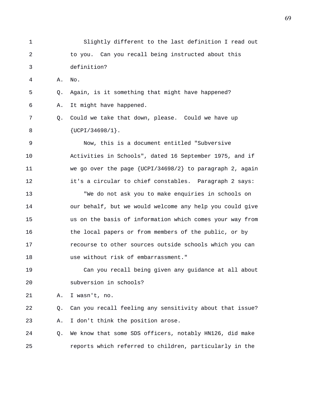1 Slightly different to the last definition I read out 2 to you. Can you recall being instructed about this 3 definition? 4 A. No. 5 Q. Again, is it something that might have happened? 6 A. It might have happened. 7 Q. Could we take that down, please. Could we have up 8 {UCPI/34698/1}. 9 Now, this is a document entitled "Subversive 10 Activities in Schools", dated 16 September 1975, and if 11 we go over the page {UCPI/34698/2} to paragraph 2, again 12 it's a circular to chief constables. Paragraph 2 says: 13 "We do not ask you to make enquiries in schools on 14 our behalf, but we would welcome any help you could give 15 us on the basis of information which comes your way from 16 the local papers or from members of the public, or by 17 recourse to other sources outside schools which you can 18 use without risk of embarrassment." 19 Can you recall being given any guidance at all about 20 subversion in schools? 21 A. I wasn't, no. 22 Q. Can you recall feeling any sensitivity about that issue? 23 A. I don't think the position arose. 24 Q. We know that some SDS officers, notably HN126, did make

25 reports which referred to children, particularly in the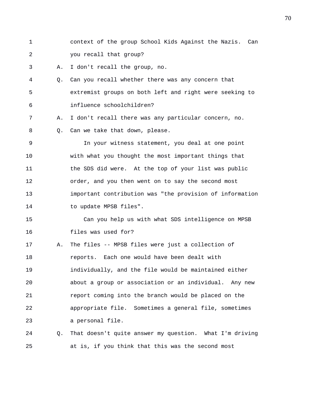1 context of the group School Kids Against the Nazis. Can 2 you recall that group?

3 A. I don't recall the group, no.

4 Q. Can you recall whether there was any concern that 5 extremist groups on both left and right were seeking to 6 influence schoolchildren?

7 A. I don't recall there was any particular concern, no.

8 Q. Can we take that down, please.

9 In your witness statement, you deal at one point 10 with what you thought the most important things that 11 the SDS did were. At the top of your list was public 12 order, and you then went on to say the second most 13 important contribution was "the provision of information 14 to update MPSB files".

15 Can you help us with what SDS intelligence on MPSB 16 files was used for?

17 A. The files -- MPSB files were just a collection of 18 reports. Each one would have been dealt with 19 individually, and the file would be maintained either 20 about a group or association or an individual. Any new 21 report coming into the branch would be placed on the 22 appropriate file. Sometimes a general file, sometimes 23 a personal file.

24 Q. That doesn't quite answer my question. What I'm driving 25 at is, if you think that this was the second most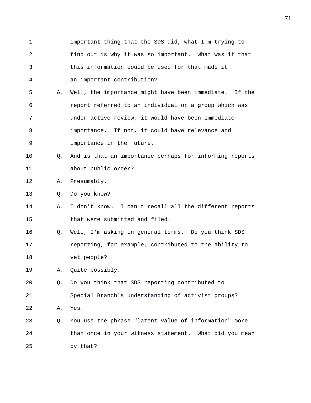1 important thing that the SDS did, what I'm trying to 2 find out is why it was so important. What was it that 3 this information could be used for that made it 4 an important contribution? 5 A. Well, the importance might have been immediate. If the 6 report referred to an individual or a group which was 7 under active review, it would have been immediate 8 importance. If not, it could have relevance and 9 importance in the future. 10 Q. And is that an importance perhaps for informing reports 11 about public order? 12 A. Presumably. 13 Q. Do you know? 14 A. I don't know. I can't recall all the different reports 15 that were submitted and filed. 16 Q. Well, I'm asking in general terms. Do you think SDS 17 reporting, for example, contributed to the ability to 18 vet people? 19 A. Quite possibly. 20 Q. Do you think that SDS reporting contributed to 21 Special Branch's understanding of activist groups? 22 A. Yes. 23 Q. You use the phrase "latent value of information" more 24 than once in your witness statement. What did you mean 25 by that?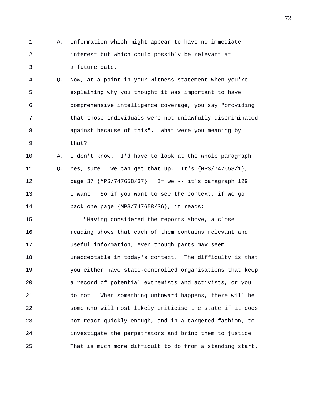- 1 A. Information which might appear to have no immediate 2 interest but which could possibly be relevant at 3 a future date.
- 4 Q. Now, at a point in your witness statement when you're 5 explaining why you thought it was important to have 6 comprehensive intelligence coverage, you say "providing 7 that those individuals were not unlawfully discriminated 8 against because of this". What were you meaning by 9 that?
- 10 A. I don't know. I'd have to look at the whole paragraph. 11 Q. Yes, sure. We can get that up. It's {MPS/747658/1}, 12 page 37 {MPS/747658/37}. If we -- it's paragraph 129 13 I want. So if you want to see the context, if we go 14 back one page {MPS/747658/36}, it reads:

15 "Having considered the reports above, a close 16 reading shows that each of them contains relevant and 17 useful information, even though parts may seem 18 unacceptable in today's context. The difficulty is that 19 you either have state-controlled organisations that keep 20 a record of potential extremists and activists, or you 21 do not. When something untoward happens, there will be 22 some who will most likely criticise the state if it does 23 not react quickly enough, and in a targeted fashion, to 24 investigate the perpetrators and bring them to justice. 25 That is much more difficult to do from a standing start.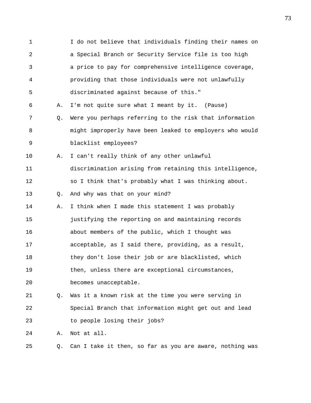1 I do not believe that individuals finding their names on 2 a Special Branch or Security Service file is too high 3 a price to pay for comprehensive intelligence coverage, 4 providing that those individuals were not unlawfully 5 discriminated against because of this." 6 A. I'm not quite sure what I meant by it. (Pause) 7 Q. Were you perhaps referring to the risk that information 8 might improperly have been leaked to employers who would 9 blacklist employees? 10 A. I can't really think of any other unlawful 11 discrimination arising from retaining this intelligence, 12 so I think that's probably what I was thinking about. 13 Q. And why was that on your mind? 14 A. I think when I made this statement I was probably 15 justifying the reporting on and maintaining records 16 about members of the public, which I thought was 17 acceptable, as I said there, providing, as a result, 18 they don't lose their job or are blacklisted, which 19 then, unless there are exceptional circumstances, 20 becomes unacceptable. 21 Q. Was it a known risk at the time you were serving in 22 Special Branch that information might get out and lead 23 to people losing their jobs? 24 A. Not at all. 25 Q. Can I take it then, so far as you are aware, nothing was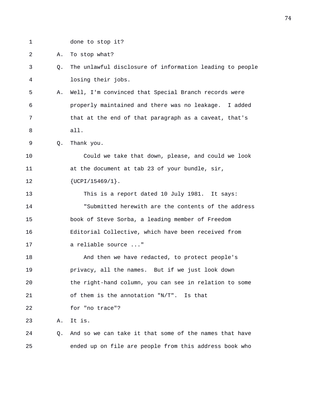1 done to stop it?

2 A. To stop what?

- 3 Q. The unlawful disclosure of information leading to people 4 losing their jobs.
- 5 A. Well, I'm convinced that Special Branch records were 6 properly maintained and there was no leakage. I added 7 that at the end of that paragraph as a caveat, that's 8 all.

9 Q. Thank you.

10 Could we take that down, please, and could we look 11 at the document at tab 23 of your bundle, sir, 12  ${UCPI/15469/1}.$ 

13 This is a report dated 10 July 1981. It says: 14 "Submitted herewith are the contents of the address 15 book of Steve Sorba, a leading member of Freedom 16 Editorial Collective, which have been received from 17 a reliable source ..."

18 And then we have redacted, to protect people's 19 privacy, all the names. But if we just look down 20 the right-hand column, you can see in relation to some 21 of them is the annotation "N/T". Is that 22 for "no trace"? 23 A. It is.

24 Q. And so we can take it that some of the names that have 25 ended up on file are people from this address book who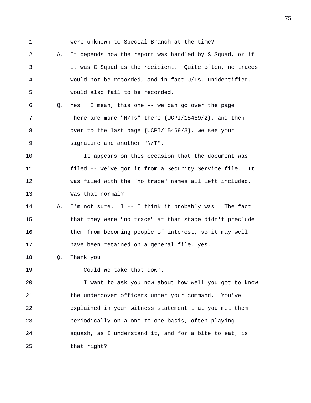1 were unknown to Special Branch at the time?

2 A. It depends how the report was handled by S Squad, or if 3 it was C Squad as the recipient. Quite often, no traces 4 would not be recorded, and in fact U/Is, unidentified, 5 would also fail to be recorded. 6 Q. Yes. I mean, this one -- we can go over the page. 7 There are more "N/Ts" there {UCPI/15469/2}, and then 8 over to the last page {UCPI/15469/3}, we see your 9 signature and another "N/T". 10 It appears on this occasion that the document was 11 filed -- we've got it from a Security Service file. It 12 was filed with the "no trace" names all left included. 13 Was that normal? 14 A. I'm not sure. I -- I think it probably was. The fact

15 that they were "no trace" at that stage didn't preclude 16 them from becoming people of interest, so it may well 17 have been retained on a general file, yes.

18 Q. Thank you.

19 Could we take that down.

20 I want to ask you now about how well you got to know 21 the undercover officers under your command. You've 22 explained in your witness statement that you met them 23 periodically on a one-to-one basis, often playing 24 squash, as I understand it, and for a bite to eat; is 25 that right?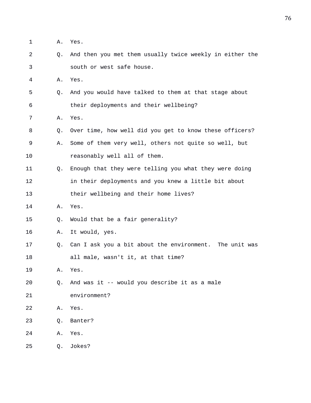- 1 A. Yes.
- 2 Q. And then you met them usually twice weekly in either the 3 south or west safe house.
- 4 A. Yes.
- 5 Q. And you would have talked to them at that stage about 6 their deployments and their wellbeing?
- 7 A. Yes.
- 8 Q. Over time, how well did you get to know these officers?
- 9 A. Some of them very well, others not quite so well, but 10 reasonably well all of them.
- 11 Q. Enough that they were telling you what they were doing 12 in their deployments and you knew a little bit about 13 their wellbeing and their home lives?
- 14 A. Yes.
- 15 Q. Would that be a fair generality?
- 16 A. It would, yes.
- 17 Q. Can I ask you a bit about the environment. The unit was 18 all male, wasn't it, at that time?
- 19 A. Yes.
- 20 Q. And was it -- would you describe it as a male
- 21 environment?
- 22 A. Yes.
- 23 Q. Banter?
- 24 A. Yes.
- 25 Q. Jokes?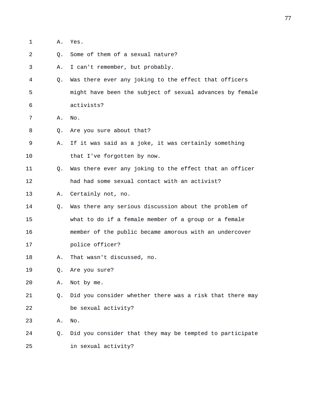1 A. Yes.

2 0. Some of them of a sexual nature?

3 A. I can't remember, but probably.

4 Q. Was there ever any joking to the effect that officers 5 might have been the subject of sexual advances by female 6 activists?

7 A. No.

8 Q. Are you sure about that?

9 A. If it was said as a joke, it was certainly something 10 that I've forgotten by now.

11 Q. Was there ever any joking to the effect that an officer 12 had had some sexual contact with an activist?

13 A. Certainly not, no.

14 Q. Was there any serious discussion about the problem of 15 what to do if a female member of a group or a female 16 member of the public became amorous with an undercover

17 police officer?

18 A. That wasn't discussed, no.

19 Q. Are you sure?

20 A. Not by me.

21 Q. Did you consider whether there was a risk that there may 22 be sexual activity?

23 A. No.

24 Q. Did you consider that they may be tempted to participate 25 in sexual activity?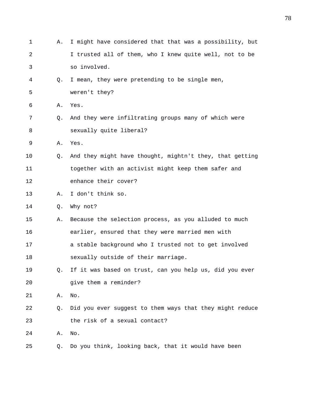| 1  | Α. | I might have considered that that was a possibility, but |
|----|----|----------------------------------------------------------|
| 2  |    | I trusted all of them, who I knew quite well, not to be  |
| 3  |    | so involved.                                             |
| 4  | Q. | I mean, they were pretending to be single men,           |
| 5  |    | weren't they?                                            |
| 6  | Α. | Yes.                                                     |
| 7  | Q. | And they were infiltrating groups many of which were     |
| 8  |    | sexually quite liberal?                                  |
| 9  | Α. | Yes.                                                     |
| 10 | O. | And they might have thought, mightn't they, that getting |
| 11 |    | together with an activist might keep them safer and      |
| 12 |    | enhance their cover?                                     |
| 13 | Α. | I don't think so.                                        |
| 14 | Q. | Why not?                                                 |
| 15 | Α. | Because the selection process, as you alluded to much    |
| 16 |    | earlier, ensured that they were married men with         |
| 17 |    | a stable background who I trusted not to get involved    |
| 18 |    | sexually outside of their marriage.                      |
| 19 | Q. | If it was based on trust, can you help us, did you ever  |
| 20 |    | give them a reminder?                                    |
| 21 | Α. | No.                                                      |
| 22 | Q. | Did you ever suggest to them ways that they might reduce |
| 23 |    | the risk of a sexual contact?                            |
| 24 | Α. | No.                                                      |
| 25 | Q. | Do you think, looking back, that it would have been      |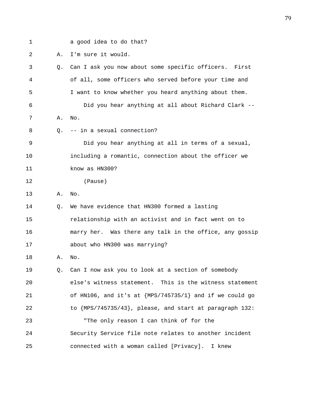1 a good idea to do that?

2 A. I'm sure it would.

| 3  | Q. | Can I ask you now about some specific officers. First   |
|----|----|---------------------------------------------------------|
| 4  |    | of all, some officers who served before your time and   |
| 5  |    | I want to know whether you heard anything about them.   |
| 6  |    | Did you hear anything at all about Richard Clark --     |
| 7  | Α. | No.                                                     |
| 8  | Q. | -- in a sexual connection?                              |
| 9  |    | Did you hear anything at all in terms of a sexual,      |
| 10 |    | including a romantic, connection about the officer we   |
| 11 |    | know as HN300?                                          |
| 12 |    | (Pause)                                                 |
| 13 | Α. | No.                                                     |
| 14 | Q. | We have evidence that HN300 formed a lasting            |
| 15 |    | relationship with an activist and in fact went on to    |
| 16 |    | marry her. Was there any talk in the office, any gossip |
| 17 |    | about who HN300 was marrying?                           |
| 18 | Α. | No.                                                     |
| 19 | Q. | Can I now ask you to look at a section of somebody      |
| 20 |    | else's witness statement. This is the witness statement |
| 21 |    | of HN106, and it's at {MPS/745735/1} and if we could go |
| 22 |    | to {MPS/745735/43}, please, and start at paragraph 132: |
| 23 |    | "The only reason I can think of for the                 |
| 24 |    | Security Service file note relates to another incident  |
| 25 |    | connected with a woman called [Privacy]. I knew         |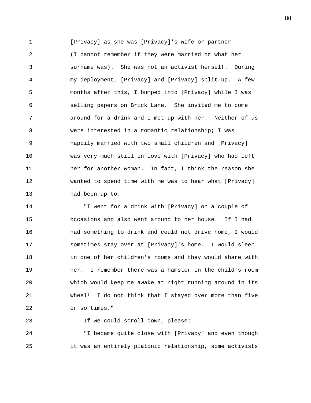1 [Privacy] as she was [Privacy]'s wife or partner 2 (I cannot remember if they were married or what her 3 surname was). She was not an activist herself. During 4 my deployment, [Privacy] and [Privacy] split up. A few 5 months after this, I bumped into [Privacy] while I was 6 selling papers on Brick Lane. She invited me to come 7 around for a drink and I met up with her. Neither of us 8 were interested in a romantic relationship; I was 9 happily married with two small children and [Privacy] 10 was very much still in love with [Privacy] who had left 11 her for another woman. In fact, I think the reason she 12 wanted to spend time with me was to hear what [Privacy] 13 had been up to.

14 "I went for a drink with [Privacy] on a couple of 15 occasions and also went around to her house. If I had 16 had something to drink and could not drive home, I would 17 sometimes stay over at [Privacy]'s home. I would sleep 18 in one of her children's rooms and they would share with 19 her. I remember there was a hamster in the child's room 20 which would keep me awake at night running around in its 21 wheel! I do not think that I stayed over more than five 22 or so times."

24 "I became quite close with [Privacy] and even though 25 it was an entirely platonic relationship, some activists

23 If we could scroll down, please: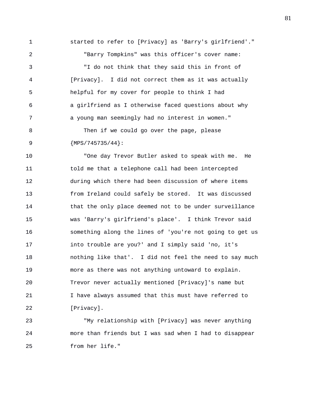1 started to refer to [Privacy] as 'Barry's girlfriend'." 2 "Barry Tompkins" was this officer's cover name: 3 "I do not think that they said this in front of 4 [Privacy]. I did not correct them as it was actually 5 helpful for my cover for people to think I had 6 a girlfriend as I otherwise faced questions about why 7 a young man seemingly had no interest in women." 8 Then if we could go over the page, please 9 {MPS/745735/44}:

10 "One day Trevor Butler asked to speak with me. He 11 told me that a telephone call had been intercepted 12 during which there had been discussion of where items 13 from Ireland could safely be stored. It was discussed 14 that the only place deemed not to be under surveillance 15 was 'Barry's girlfriend's place'. I think Trevor said 16 something along the lines of 'you're not going to get us 17 into trouble are you?' and I simply said 'no, it's 18 nothing like that'. I did not feel the need to say much 19 more as there was not anything untoward to explain. 20 Trevor never actually mentioned [Privacy]'s name but 21 I have always assumed that this must have referred to 22 [Privacy].

23 "My relationship with [Privacy] was never anything 24 more than friends but I was sad when I had to disappear 25 from her life."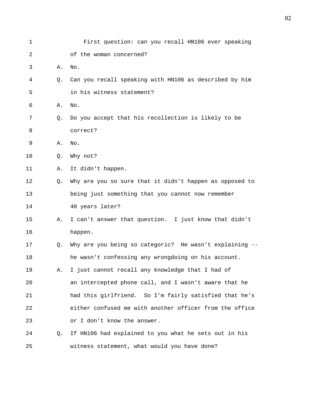| 1  |    | First question: can you recall HN106 ever speaking      |
|----|----|---------------------------------------------------------|
| 2  |    | of the woman concerned?                                 |
| 3  | Α. | No.                                                     |
| 4  | О. | Can you recall speaking with HN106 as described by him  |
| 5  |    | in his witness statement?                               |
| 6  | Α. | No.                                                     |
| 7  | Q. | Do you accept that his recollection is likely to be     |
| 8  |    | correct?                                                |
| 9  | Α. | No.                                                     |
| 10 | Q. | Why not?                                                |
| 11 | Α. | It didn't happen.                                       |
| 12 | Q. | Why are you so sure that it didn't happen as opposed to |
| 13 |    | being just something that you cannot now remember       |
| 14 |    | 40 years later?                                         |
| 15 | Α. | I can't answer that question. I just know that didn't   |
| 16 |    | happen.                                                 |
| 17 | Q. | Why are you being so categoric? He wasn't explaining -- |
| 18 |    | he wasn't confessing any wrongdoing on his account.     |
| 19 | Α. | I just cannot recall any knowledge that I had of        |
| 20 |    | an intercepted phone call, and I wasn't aware that he   |
| 21 |    | had this girlfriend. So I'm fairly satisfied that he's  |
| 22 |    | either confused me with another officer from the office |
| 23 |    | or I don't know the answer.                             |
| 24 | Q. | If HN106 had explained to you what he sets out in his   |
| 25 |    | witness statement, what would you have done?            |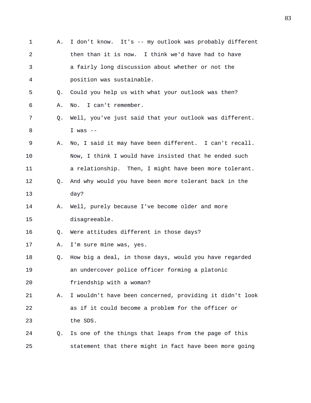1 A. I don't know. It's -- my outlook was probably different 2 then than it is now. I think we'd have had to have 3 a fairly long discussion about whether or not the 4 position was sustainable. 5 Q. Could you help us with what your outlook was then? 6 A. No. I can't remember. 7 Q. Well, you've just said that your outlook was different. 8 I was -- 9 A. No, I said it may have been different. I can't recall. 10 Now, I think I would have insisted that he ended such 11 a relationship. Then, I might have been more tolerant. 12 Q. And why would you have been more tolerant back in the 13 day? 14 A. Well, purely because I've become older and more 15 disagreeable. 16 Q. Were attitudes different in those days? 17 A. I'm sure mine was, yes. 18 Q. How big a deal, in those days, would you have regarded 19 an undercover police officer forming a platonic 20 friendship with a woman? 21 A. I wouldn't have been concerned, providing it didn't look 22 as if it could become a problem for the officer or 23 the SDS. 24 Q. Is one of the things that leaps from the page of this 25 statement that there might in fact have been more going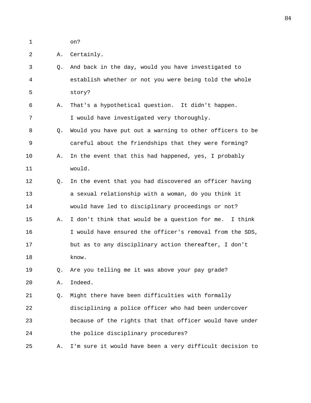1 on?

2 A. Certainly.

3 Q. And back in the day, would you have investigated to 4 establish whether or not you were being told the whole 5 story? 6 A. That's a hypothetical question. It didn't happen. 7 I would have investigated very thoroughly. 8 Q. Would you have put out a warning to other officers to be 9 careful about the friendships that they were forming? 10 A. In the event that this had happened, yes, I probably 11 would. 12 Q. In the event that you had discovered an officer having 13 a sexual relationship with a woman, do you think it 14 would have led to disciplinary proceedings or not? 15 A. I don't think that would be a question for me. I think 16 I would have ensured the officer's removal from the SDS, 17 but as to any disciplinary action thereafter, I don't 18 know. 19 Q. Are you telling me it was above your pay grade? 20 A. Indeed. 21 Q. Might there have been difficulties with formally 22 disciplining a police officer who had been undercover 23 because of the rights that that officer would have under 24 the police disciplinary procedures? 25 A. I'm sure it would have been a very difficult decision to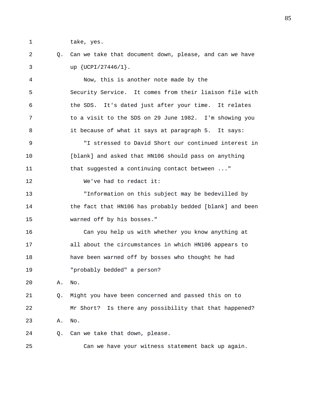1 take, yes.

## 2 Q. Can we take that document down, please, and can we have 3 up {UCPI/27446/1}.

4 Now, this is another note made by the 5 Security Service. It comes from their liaison file with 6 the SDS. It's dated just after your time. It relates 7 to a visit to the SDS on 29 June 1982. I'm showing you 8 it because of what it says at paragraph 5. It says: 9 "I stressed to David Short our continued interest in 10 [blank] and asked that HN106 should pass on anything 11 that suggested a continuing contact between ..." 12 We've had to redact it: 13 "Information on this subject may be bedevilled by 14 the fact that HN106 has probably bedded [blank] and been 15 warned off by his bosses." 16 Can you help us with whether you know anything at 17 all about the circumstances in which HN106 appears to 18 have been warned off by bosses who thought he had 19 "probably bedded" a person? 20 A. No. 21 Q. Might you have been concerned and passed this on to 22 Mr Short? Is there any possibility that that happened?

23 A. No.

24 Q. Can we take that down, please.

25 Can we have your witness statement back up again.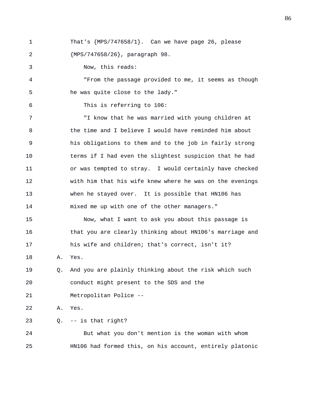1 That's {MPS/747658/1}. Can we have page 26, please 2 {MPS/747658/26}, paragraph 98.

3 Now, this reads:

4 "From the passage provided to me, it seems as though 5 he was quite close to the lady."

6 This is referring to 106:

7 "I know that he was married with young children at 8 the time and I believe I would have reminded him about 9 his obligations to them and to the job in fairly strong 10 terms if I had even the slightest suspicion that he had 11 or was tempted to stray. I would certainly have checked 12 with him that his wife knew where he was on the evenings 13 when he stayed over. It is possible that HN106 has 14 mixed me up with one of the other managers."

15 Now, what I want to ask you about this passage is 16 that you are clearly thinking about HN106's marriage and 17 his wife and children; that's correct, isn't it?

18 A. Yes.

19 Q. And you are plainly thinking about the risk which such 20 conduct might present to the SDS and the 21 Metropolitan Police --

22 A. Yes.

23 Q. -- is that right?

24 But what you don't mention is the woman with whom 25 HN106 had formed this, on his account, entirely platonic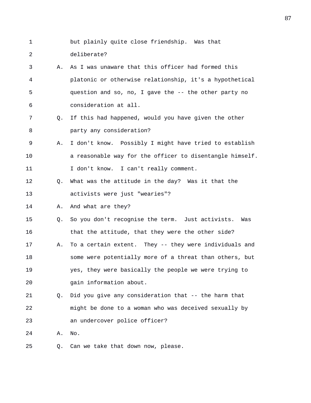- 1 but plainly quite close friendship. Was that 2 deliberate? 3 A. As I was unaware that this officer had formed this 4 platonic or otherwise relationship, it's a hypothetical 5 question and so, no, I gave the -- the other party no 6 consideration at all. 7 Q. If this had happened, would you have given the other 8 party any consideration? 9 A. I don't know. Possibly I might have tried to establish 10 a reasonable way for the officer to disentangle himself. 11 I don't know. I can't really comment. 12 Q. What was the attitude in the day? Was it that the 13 activists were just "wearies"? 14 A. And what are they? 15 Q. So you don't recognise the term. Just activists. Was 16 that the attitude, that they were the other side? 17 A. To a certain extent. They -- they were individuals and 18 some were potentially more of a threat than others, but 19 yes, they were basically the people we were trying to 20 gain information about. 21 Q. Did you give any consideration that -- the harm that 22 might be done to a woman who was deceived sexually by 23 an undercover police officer? 24 A. No.
- 25 Q. Can we take that down now, please.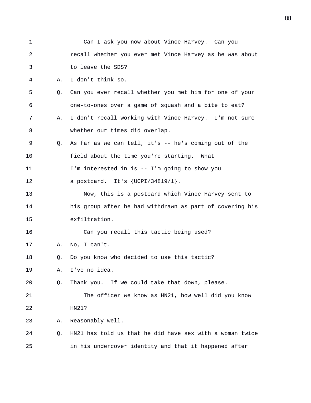| 1  |    | Can I ask you now about Vince Harvey. Can you            |
|----|----|----------------------------------------------------------|
| 2  |    | recall whether you ever met Vince Harvey as he was about |
| 3  |    | to leave the SDS?                                        |
| 4  | Α. | I don't think so.                                        |
| 5  | Q. | Can you ever recall whether you met him for one of your  |
| 6  |    | one-to-ones over a game of squash and a bite to eat?     |
| 7  | Α. | I don't recall working with Vince Harvey. I'm not sure   |
| 8  |    | whether our times did overlap.                           |
| 9  | Q. | As far as we can tell, it's $-$ he's coming out of the   |
| 10 |    | field about the time you're starting. What               |
| 11 |    | I'm interested in is -- I'm going to show you            |
| 12 |    | a postcard. It's $\{UCPI/34819/1\}$ .                    |
| 13 |    | Now, this is a postcard which Vince Harvey sent to       |
| 14 |    | his group after he had withdrawn as part of covering his |
| 15 |    | exfiltration.                                            |
| 16 |    | Can you recall this tactic being used?                   |
| 17 | Α. | No, I can't.                                             |
| 18 | Q. | Do you know who decided to use this tactic?              |
| 19 | Α. | I've no idea.                                            |
| 20 | Q. | Thank you. If we could take that down, please.           |
| 21 |    | The officer we know as HN21, how well did you know       |
| 22 |    | HN21?                                                    |
| 23 | Α. | Reasonably well.                                         |
| 24 | Q. | HN21 has told us that he did have sex with a woman twice |
| 25 |    | in his undercover identity and that it happened after    |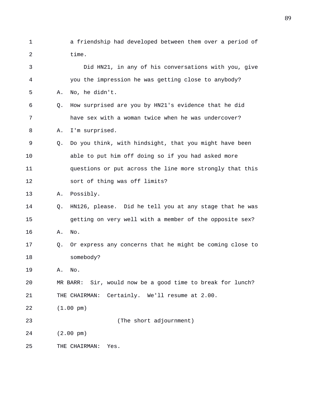1 a friendship had developed between them over a period of 2 time.

| 3  |    | Did HN21, in any of his conversations with you, give          |
|----|----|---------------------------------------------------------------|
| 4  |    | you the impression he was getting close to anybody?           |
| 5  | Α. | No, he didn't.                                                |
| 6  | Q. | How surprised are you by HN21's evidence that he did          |
| 7  |    | have sex with a woman twice when he was undercover?           |
| 8  | Α. | I'm surprised.                                                |
| 9  | Q. | Do you think, with hindsight, that you might have been        |
| 10 |    | able to put him off doing so if you had asked more            |
| 11 |    | questions or put across the line more strongly that this      |
| 12 |    | sort of thing was off limits?                                 |
| 13 | Α. | Possibly.                                                     |
| 14 | Q. | HN126, please. Did he tell you at any stage that he was       |
| 15 |    | getting on very well with a member of the opposite sex?       |
| 16 | Α. | No.                                                           |
| 17 | Q. | Or express any concerns that he might be coming close to      |
| 18 |    | somebody?                                                     |
| 19 | Α. | No.                                                           |
| 20 |    | Sir, would now be a good time to break for lunch?<br>MR BARR: |
| 21 |    | Certainly. We'll resume at 2.00.<br>THE CHAIRMAN:             |
| 22 |    | $(1.00 \text{ pm})$                                           |
| 23 |    | (The short adjournment)                                       |
| 24 |    | $(2.00 \text{ pm})$                                           |
| 25 |    | THE CHAIRMAN:<br>Yes.                                         |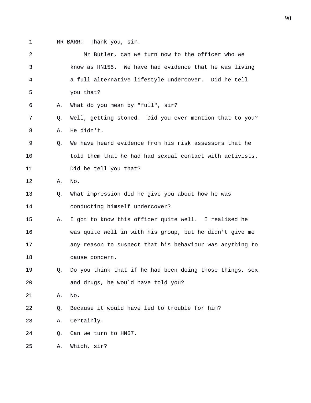1 MR BARR: Thank you, sir.

| $\overline{2}$ |                | Mr Butler, can we turn now to the officer who we         |
|----------------|----------------|----------------------------------------------------------|
| 3              |                | know as HN155. We have had evidence that he was living   |
| 4              |                | a full alternative lifestyle undercover. Did he tell     |
| 5              |                | you that?                                                |
| 6              | Α.             | What do you mean by "full", sir?                         |
| 7              | Q.             | Well, getting stoned. Did you ever mention that to you?  |
| 8              | Α.             | He didn't.                                               |
| 9              | Q <sub>z</sub> | We have heard evidence from his risk assessors that he   |
| 10             |                | told them that he had had sexual contact with activists. |
| 11             |                | Did he tell you that?                                    |
| 12             | Α.             | No.                                                      |
| 13             | Q.             | What impression did he give you about how he was         |
| 14             |                | conducting himself undercover?                           |
| 15             | Α.             | I got to know this officer quite well. I realised he     |
| 16             |                | was quite well in with his group, but he didn't give me  |
| 17             |                | any reason to suspect that his behaviour was anything to |
| 18             |                | cause concern.                                           |
| 19             | O.             | Do you think that if he had been doing those things, sex |
| 20             |                | and drugs, he would have told you?                       |
| 21             | Α.             | $\rm No$ .                                               |
| 22             | Q.             | Because it would have led to trouble for him?            |
| 23             | Α.             | Certainly.                                               |
| 24             | Q.             | Can we turn to HN67.                                     |
| 25             | Α.             | Which, sir?                                              |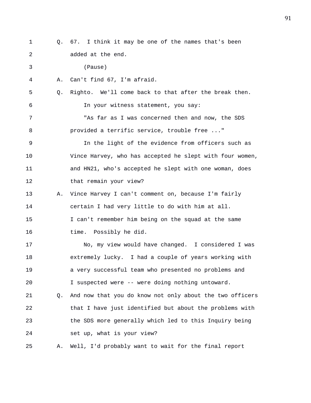1 Q. 67. I think it may be one of the names that's been 2 added at the end. 3 (Pause) 4 A. Can't find 67, I'm afraid. 5 Q. Righto. We'll come back to that after the break then. 6 In your witness statement, you say: 7 "As far as I was concerned then and now, the SDS 8 provided a terrific service, trouble free ..." 9 In the light of the evidence from officers such as 10 Vince Harvey, who has accepted he slept with four women, 11 and HN21, who's accepted he slept with one woman, does 12 that remain your view? 13 A. Vince Harvey I can't comment on, because I'm fairly 14 certain I had very little to do with him at all. 15 I can't remember him being on the squad at the same 16 time. Possibly he did. 17 No, my view would have changed. I considered I was 18 extremely lucky. I had a couple of years working with 19 a very successful team who presented no problems and 20 I suspected were -- were doing nothing untoward. 21 Q. And now that you do know not only about the two officers 22 that I have just identified but about the problems with 23 the SDS more generally which led to this Inquiry being 24 set up, what is your view? 25 A. Well, I'd probably want to wait for the final report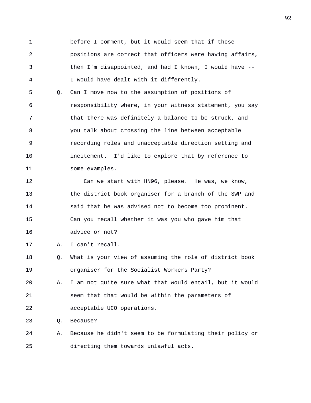1 before I comment, but it would seem that if those 2 positions are correct that officers were having affairs, 3 then I'm disappointed, and had I known, I would have -- 4 I would have dealt with it differently.

5 Q. Can I move now to the assumption of positions of 6 responsibility where, in your witness statement, you say 7 that there was definitely a balance to be struck, and 8 you talk about crossing the line between acceptable 9 recording roles and unacceptable direction setting and 10 incitement. I'd like to explore that by reference to 11 some examples.

12 Can we start with HN96, please. He was, we know, 13 the district book organiser for a branch of the SWP and 14 said that he was advised not to become too prominent. 15 Can you recall whether it was you who gave him that 16 advice or not?

17 A. I can't recall.

18 Q. What is your view of assuming the role of district book 19 organiser for the Socialist Workers Party?

20 A. I am not quite sure what that would entail, but it would 21 seem that that would be within the parameters of 22 acceptable UCO operations.

23 Q. Because?

24 A. Because he didn't seem to be formulating their policy or 25 directing them towards unlawful acts.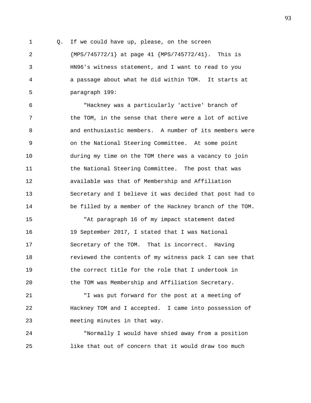1 Q. If we could have up, please, on the screen 2 {MPS/745772/1} at page 41 {MPS/745772/41}. This is 3 HN96's witness statement, and I want to read to you 4 a passage about what he did within TOM. It starts at 5 paragraph 199:

6 "Hackney was a particularly 'active' branch of 7 the TOM, in the sense that there were a lot of active 8 and enthusiastic members. A number of its members were 9 on the National Steering Committee. At some point 10 during my time on the TOM there was a vacancy to join 11 the National Steering Committee. The post that was 12 available was that of Membership and Affiliation 13 Secretary and I believe it was decided that post had to 14 be filled by a member of the Hackney branch of the TOM.

15 "At paragraph 16 of my impact statement dated 16 19 September 2017, I stated that I was National 17 Secretary of the TOM. That is incorrect. Having 18 reviewed the contents of my witness pack I can see that 19 the correct title for the role that I undertook in 20 the TOM was Membership and Affiliation Secretary.

21 "I was put forward for the post at a meeting of 22 Hackney TOM and I accepted. I came into possession of 23 meeting minutes in that way.

24 "Normally I would have shied away from a position 25 like that out of concern that it would draw too much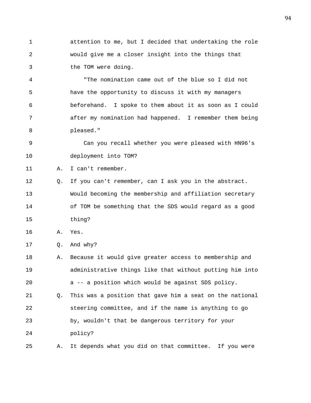1 attention to me, but I decided that undertaking the role 2 would give me a closer insight into the things that 3 the TOM were doing.

4 "The nomination came out of the blue so I did not 5 have the opportunity to discuss it with my managers 6 beforehand. I spoke to them about it as soon as I could 7 after my nomination had happened. I remember them being 8 pleased."

9 Can you recall whether you were pleased with HN96's 10 deployment into TOM?

11 A. I can't remember.

12 Q. If you can't remember, can I ask you in the abstract. 13 Would becoming the membership and affiliation secretary 14 of TOM be something that the SDS would regard as a good 15 thing?

16 A. Yes.

17 Q. And why?

- 18 A. Because it would give greater access to membership and 19 administrative things like that without putting him into 20 a -- a position which would be against SDS policy. 21 Q. This was a position that gave him a seat on the national 22 steering committee, and if the name is anything to go 23 by, wouldn't that be dangerous territory for your 24 policy?
- 25 A. It depends what you did on that committee. If you were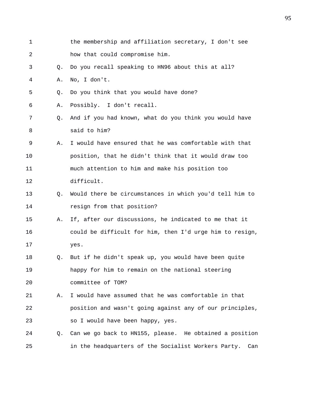| 1  |    | the membership and affiliation secretary, I don't see    |
|----|----|----------------------------------------------------------|
| 2  |    | how that could compromise him.                           |
| 3  | O. | Do you recall speaking to HN96 about this at all?        |
| 4  | Α. | No, I don't.                                             |
| 5  | Q. | Do you think that you would have done?                   |
| 6  | Α. | Possibly. I don't recall.                                |
| 7  | Q. | And if you had known, what do you think you would have   |
| 8  |    | said to him?                                             |
| 9  | Α. | I would have ensured that he was comfortable with that   |
| 10 |    | position, that he didn't think that it would draw too    |
| 11 |    | much attention to him and make his position too          |
| 12 |    | difficult.                                               |
| 13 | Q. | Would there be circumstances in which you'd tell him to  |
| 14 |    | resign from that position?                               |
| 15 | Α. | If, after our discussions, he indicated to me that it    |
| 16 |    | could be difficult for him, then I'd urge him to resign, |
| 17 |    | yes.                                                     |
| 18 | Q. | But if he didn't speak up, you would have been quite     |
| 19 |    | happy for him to remain on the national steering         |
| 20 |    | committee of TOM?                                        |
| 21 | Α. | I would have assumed that he was comfortable in that     |
| 22 |    | position and wasn't going against any of our principles, |
| 23 |    | so I would have been happy, yes.                         |
| 24 | Q. | Can we go back to HN155, please. He obtained a position  |
| 25 |    | in the headquarters of the Socialist Workers Party. Can  |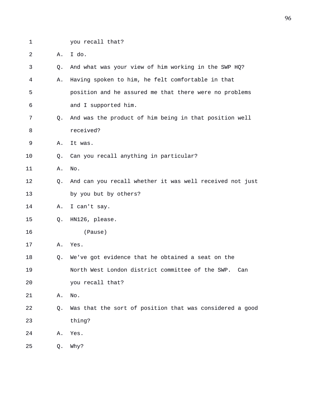1 you recall that?

2 A. I do.

| 3  | Q. | And what was your view of him working in the SWP HQ?     |
|----|----|----------------------------------------------------------|
| 4  | Α. | Having spoken to him, he felt comfortable in that        |
| 5  |    | position and he assured me that there were no problems   |
| 6  |    | and I supported him.                                     |
| 7  | Q. | And was the product of him being in that position well   |
| 8  |    | received?                                                |
| 9  | Α. | It was.                                                  |
| 10 | Q. | Can you recall anything in particular?                   |
| 11 | Α. | No.                                                      |
| 12 | Q. | And can you recall whether it was well received not just |
| 13 |    | by you but by others?                                    |
| 14 | Α. | I can't say.                                             |
| 15 | Q. | HN126, please.                                           |
| 16 |    | (Pause)                                                  |
| 17 | Α. | Yes.                                                     |
| 18 | Q. | We've got evidence that he obtained a seat on the        |
| 19 |    | North West London district committee of the SWP.<br>Can  |
| 20 |    | you recall that?                                         |
| 21 | Α. | No.                                                      |
| 22 | Q. | Was that the sort of position that was considered a good |
| 23 |    | thing?                                                   |
| 24 | Α. | Yes.                                                     |
| 25 | Q. | Why?                                                     |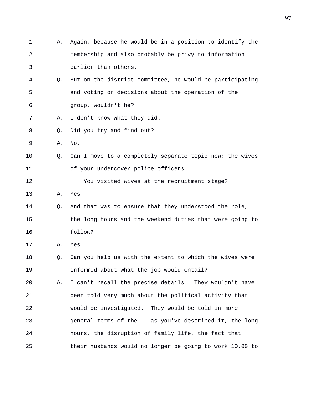| 1  | Α. | Again, because he would be in a position to identify the |
|----|----|----------------------------------------------------------|
| 2  |    | membership and also probably be privy to information     |
| 3  |    | earlier than others.                                     |
| 4  | Q. | But on the district committee, he would be participating |
| 5  |    | and voting on decisions about the operation of the       |
| 6  |    | group, wouldn't he?                                      |
| 7  | Α. | I don't know what they did.                              |
| 8  | Q. | Did you try and find out?                                |
| 9  | Α. | No.                                                      |
| 10 | Q. | Can I move to a completely separate topic now: the wives |
| 11 |    | of your undercover police officers.                      |
| 12 |    | You visited wives at the recruitment stage?              |
| 13 | Α. | Yes.                                                     |
| 14 | Q. | And that was to ensure that they understood the role,    |
| 15 |    | the long hours and the weekend duties that were going to |
| 16 |    | follow?                                                  |
| 17 | Α. | Yes.                                                     |
| 18 | Q. | Can you help us with the extent to which the wives were  |
| 19 |    | informed about what the job would entail?                |
| 20 | Α. | I can't recall the precise details. They wouldn't have   |
| 21 |    | been told very much about the political activity that    |
| 22 |    | would be investigated. They would be told in more        |
| 23 |    | general terms of the -- as you've described it, the long |
| 24 |    | hours, the disruption of family life, the fact that      |
| 25 |    | their husbands would no longer be going to work 10.00 to |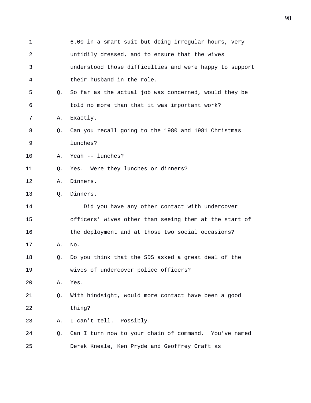| $\mathbf 1$ |    | 6.00 in a smart suit but doing irregular hours, very    |
|-------------|----|---------------------------------------------------------|
| 2           |    | untidily dressed, and to ensure that the wives          |
| 3           |    | understood those difficulties and were happy to support |
| 4           |    | their husband in the role.                              |
| 5           | 0. | So far as the actual job was concerned, would they be   |
| 6           |    | told no more than that it was important work?           |
| 7           | Α. | Exactly.                                                |
| 8           | O. | Can you recall going to the 1980 and 1981 Christmas     |
| 9           |    | lunches?                                                |
| 10          | Α. | Yeah -- lunches?                                        |
| 11          | Q. | Yes. Were they lunches or dinners?                      |
| 12          | Α. | Dinners.                                                |
| 13          | Q. | Dinners.                                                |
| 14          |    | Did you have any other contact with undercover          |
| 15          |    | officers' wives other than seeing them at the start of  |
| 16          |    | the deployment and at those two social occasions?       |
| 17          | Α. | No.                                                     |
| 18          | O. | Do you think that the SDS asked a great deal of the     |
| 19          |    | wives of undercover police officers?                    |
| 20          | Α. | Yes.                                                    |
| 21          | Q. | With hindsight, would more contact have been a good     |
| 22          |    | thing?                                                  |
| 23          | Α. | I can't tell. Possibly.                                 |
| 24          | Q. | Can I turn now to your chain of command. You've named   |
| 25          |    | Derek Kneale, Ken Pryde and Geoffrey Craft as           |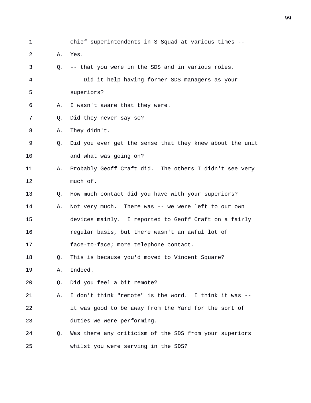1 chief superintendents in S Squad at various times -- 2 A. Yes. 3 Q. -- that you were in the SDS and in various roles. 4 Did it help having former SDS managers as your 5 superiors? 6 A. I wasn't aware that they were. 7 Q. Did they never say so? 8 A. They didn't. 9 Q. Did you ever get the sense that they knew about the unit 10 and what was going on? 11 A. Probably Geoff Craft did. The others I didn't see very 12 much of. 13 Q. How much contact did you have with your superiors? 14 A. Not very much. There was -- we were left to our own 15 devices mainly. I reported to Geoff Craft on a fairly 16 regular basis, but there wasn't an awful lot of 17 face-to-face; more telephone contact. 18 Q. This is because you'd moved to Vincent Square? 19 A. Indeed. 20 Q. Did you feel a bit remote? 21 A. I don't think "remote" is the word. I think it was -- 22 it was good to be away from the Yard for the sort of 23 duties we were performing. 24 Q. Was there any criticism of the SDS from your superiors 25 whilst you were serving in the SDS?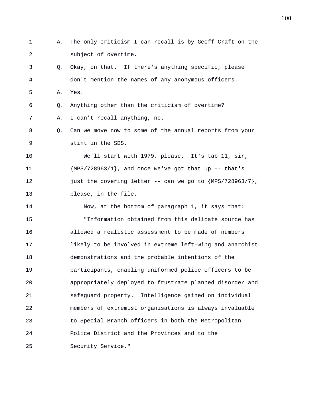1 A. The only criticism I can recall is by Geoff Craft on the 2 subject of overtime. 3 Q. Okay, on that. If there's anything specific, please 4 don't mention the names of any anonymous officers. 5 A. Yes. 6 Q. Anything other than the criticism of overtime? 7 A. I can't recall anything, no. 8 Q. Can we move now to some of the annual reports from your 9 stint in the SDS. 10 We'll start with 1979, please. It's tab 11, sir, 11  ${MPS}/728963/1$ , and once we've got that up -- that's 12 **just the covering letter -- can we go to {MPS/728963/7}**, 13 please, in the file. 14 Now, at the bottom of paragraph 1, it says that: 15 "Information obtained from this delicate source has 16 allowed a realistic assessment to be made of numbers 17 likely to be involved in extreme left-wing and anarchist 18 demonstrations and the probable intentions of the 19 participants, enabling uniformed police officers to be 20 appropriately deployed to frustrate planned disorder and 21 safeguard property. Intelligence gained on individual 22 members of extremist organisations is always invaluable 23 to Special Branch officers in both the Metropolitan 24 Police District and the Provinces and to the 25 Security Service."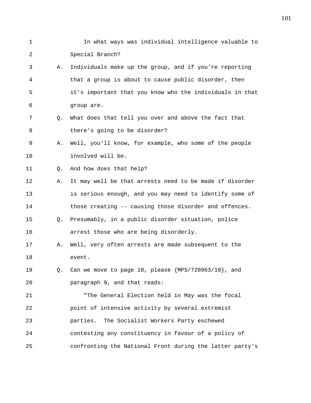1 In what ways was individual intelligence valuable to 2 Special Branch? 3 A. Individuals make up the group, and if you're reporting 4 that a group is about to cause public disorder, then 5 it's important that you know who the individuals in that 6 group are. 7 Q. What does that tell you over and above the fact that 8 there's going to be disorder? 9 A. Well, you'll know, for example, who some of the people 10 involved will be. 11 0. And how does that help? 12 A. It may well be that arrests need to be made if disorder 13 is serious enough, and you may need to identify some of 14 those creating -- causing those disorder and offences. 15 Q. Presumably, in a public disorder situation, police 16 arrest those who are being disorderly. 17 A. Well, very often arrests are made subsequent to the 18 event. 19 Q. Can we move to page 10, please {MPS/728963/10}, and 20 paragraph 9, and that reads: 21 "The General Election held in May was the focal 22 point of intensive activity by several extremist 23 parties. The Socialist Workers Party eschewed 24 contesting any constituency in favour of a policy of 25 confronting the National Front during the latter party's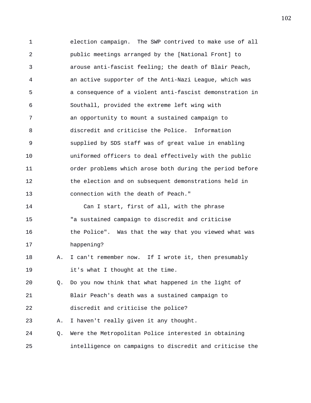1 election campaign. The SWP contrived to make use of all 2 public meetings arranged by the [National Front] to 3 arouse anti-fascist feeling; the death of Blair Peach, 4 an active supporter of the Anti-Nazi League, which was 5 a consequence of a violent anti-fascist demonstration in 6 Southall, provided the extreme left wing with 7 an opportunity to mount a sustained campaign to 8 discredit and criticise the Police. Information 9 supplied by SDS staff was of great value in enabling 10 uniformed officers to deal effectively with the public 11 order problems which arose both during the period before 12 the election and on subsequent demonstrations held in 13 connection with the death of Peach." 14 Can I start, first of all, with the phrase 15 "a sustained campaign to discredit and criticise 16 the Police". Was that the way that you viewed what was 17 happening? 18 A. I can't remember now. If I wrote it, then presumably 19 it's what I thought at the time. 20 Q. Do you now think that what happened in the light of 21 Blair Peach's death was a sustained campaign to 22 discredit and criticise the police? 23 A. I haven't really given it any thought. 24 Q. Were the Metropolitan Police interested in obtaining 25 intelligence on campaigns to discredit and criticise the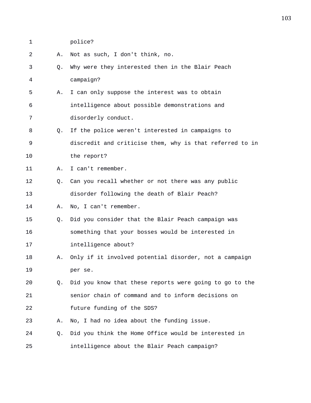- 1 police?
- 2 A. Not as such, I don't think, no.
- 3 Q. Why were they interested then in the Blair Peach 4 campaign?
- 5 A. I can only suppose the interest was to obtain 6 intelligence about possible demonstrations and 7 disorderly conduct.
- 8 Q. If the police weren't interested in campaigns to 9 discredit and criticise them, why is that referred to in 10 the report?
- 11 A. I can't remember.
- 12 Q. Can you recall whether or not there was any public 13 disorder following the death of Blair Peach?
- 14 A. No, I can't remember.
- 15 Q. Did you consider that the Blair Peach campaign was 16 something that your bosses would be interested in 17 intelligence about?
- 18 A. Only if it involved potential disorder, not a campaign 19 per se.
- 20 Q. Did you know that these reports were going to go to the 21 senior chain of command and to inform decisions on 22 future funding of the SDS?
- 23 A. No, I had no idea about the funding issue.
- 24 Q. Did you think the Home Office would be interested in 25 intelligence about the Blair Peach campaign?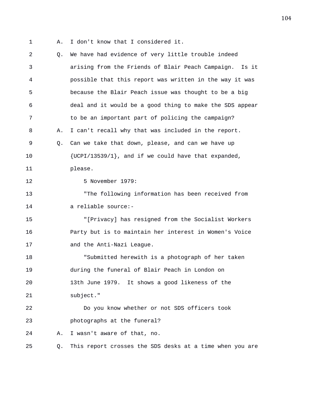1 A. I don't know that I considered it.

| 2  | Q. | We have had evidence of very little trouble indeed       |
|----|----|----------------------------------------------------------|
| 3  |    | arising from the Friends of Blair Peach Campaign. Is it  |
| 4  |    | possible that this report was written in the way it was  |
| 5  |    | because the Blair Peach issue was thought to be a big    |
| 6  |    | deal and it would be a good thing to make the SDS appear |
| 7  |    | to be an important part of policing the campaign?        |
| 8  | Α. | I can't recall why that was included in the report.      |
| 9  | Q. | Can we take that down, please, and can we have up        |
| 10 |    | $\{UCPI/13539/1\}$ , and if we could have that expanded, |
| 11 |    | please.                                                  |
| 12 |    | 5 November 1979:                                         |
| 13 |    | "The following information has been received from        |
| 14 |    | a reliable source:-                                      |
| 15 |    | "[Privacy] has resigned from the Socialist Workers       |
| 16 |    | Party but is to maintain her interest in Women's Voice   |
| 17 |    | and the Anti-Nazi League.                                |
| 18 |    | "Submitted herewith is a photograph of her taken         |
| 19 |    | during the funeral of Blair Peach in London on           |
| 20 |    | 13th June 1979. It shows a good likeness of the          |
| 21 |    | subject."                                                |
| 22 |    | Do you know whether or not SDS officers took             |
| 23 |    | photographs at the funeral?                              |
| 24 | Α. | I wasn't aware of that, no.                              |
| 25 | Q. | This report crosses the SDS desks at a time when you are |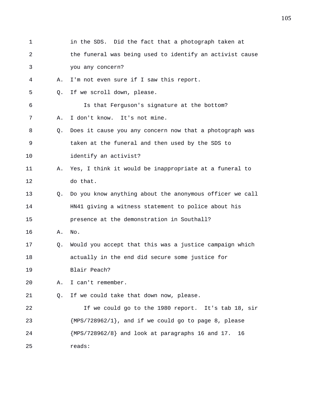1 in the SDS. Did the fact that a photograph taken at 2 the funeral was being used to identify an activist cause 3 you any concern? 4 A. I'm not even sure if I saw this report. 5 Q. If we scroll down, please. 6 Is that Ferguson's signature at the bottom? 7 A. I don't know. It's not mine. 8 Q. Does it cause you any concern now that a photograph was 9 taken at the funeral and then used by the SDS to 10 identify an activist? 11 A. Yes, I think it would be inappropriate at a funeral to 12 do that. 13 Q. Do you know anything about the anonymous officer we call 14 HN41 giving a witness statement to police about his 15 presence at the demonstration in Southall? 16 A. No. 17 Q. Would you accept that this was a justice campaign which 18 actually in the end did secure some justice for 19 Blair Peach? 20 A. I can't remember. 21 Q. If we could take that down now, please. 22 If we could go to the 1980 report. It's tab 18, sir 23  ${MPS}/728962/1$ , and if we could go to page 8, please 24 {MPS/728962/8} and look at paragraphs 16 and 17. 16 25 reads: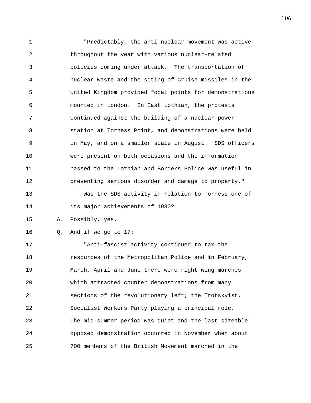1 "Predictably, the anti-nuclear movement was active 2 throughout the year with various nuclear-related 3 policies coming under attack. The transportation of 4 nuclear waste and the siting of Cruise missiles in the 5 United Kingdom provided focal points for demonstrations 6 mounted in London. In East Lothian, the protests 7 continued against the building of a nuclear power 8 station at Torness Point, and demonstrations were held 9 in May, and on a smaller scale in August. SDS officers 10 were present on both occasions and the information 11 passed to the Lothian and Borders Police was useful in 12 preventing serious disorder and damage to property." 13 Was the SDS activity in relation to Torness one of 14 its major achievements of 1980? 15 A. Possibly, yes. 16 Q. And if we go to 17: 17 "Anti-fascist activity continued to tax the 18 resources of the Metropolitan Police and in February, 19 March, April and June there were right wing marches 20 which attracted counter demonstrations from many 21 sections of the revolutionary left; the Trotskyist,

22 Socialist Workers Party playing a principal role. 23 The mid-summer period was quiet and the last sizeable 24 opposed demonstration occurred in November when about 25 700 members of the British Movement marched in the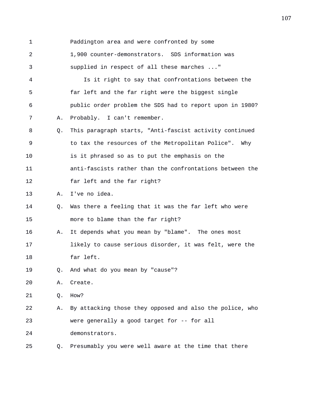1 Paddington area and were confronted by some 2 1,900 counter-demonstrators. SDS information was 3 supplied in respect of all these marches ..." 4 Is it right to say that confrontations between the 5 far left and the far right were the biggest single 6 public order problem the SDS had to report upon in 1980? 7 A. Probably. I can't remember. 8 Q. This paragraph starts, "Anti-fascist activity continued 9 to tax the resources of the Metropolitan Police". Why 10 is it phrased so as to put the emphasis on the 11 anti-fascists rather than the confrontations between the 12 far left and the far right? 13 A. I've no idea. 14 Q. Was there a feeling that it was the far left who were 15 more to blame than the far right? 16 A. It depends what you mean by "blame". The ones most 17 likely to cause serious disorder, it was felt, were the 18 far left. 19 Q. And what do you mean by "cause"? 20 A. Create. 21 Q. How? 22 A. By attacking those they opposed and also the police, who 23 were generally a good target for -- for all 24 demonstrators. 25 Q. Presumably you were well aware at the time that there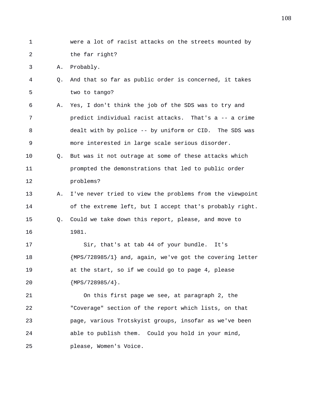1 were a lot of racist attacks on the streets mounted by 2 the far right? 3 A. Probably. 4 Q. And that so far as public order is concerned, it takes 5 two to tango? 6 A. Yes, I don't think the job of the SDS was to try and 7 predict individual racist attacks. That's a -- a crime 8 dealt with by police -- by uniform or CID. The SDS was 9 more interested in large scale serious disorder. 10 Q. But was it not outrage at some of these attacks which 11 prompted the demonstrations that led to public order 12 problems? 13 A. I've never tried to view the problems from the viewpoint 14 of the extreme left, but I accept that's probably right. 15 Q. Could we take down this report, please, and move to 16 1981. 17 Sir, that's at tab 44 of your bundle. It's 18 {MPS/728985/1} and, again, we've got the covering letter 19 at the start, so if we could go to page 4, please 20 {MPS/728985/4}. 21 On this first page we see, at paragraph 2, the 22 "Coverage" section of the report which lists, on that 23 page, various Trotskyist groups, insofar as we've been 24 able to publish them. Could you hold in your mind, 25 please, Women's Voice.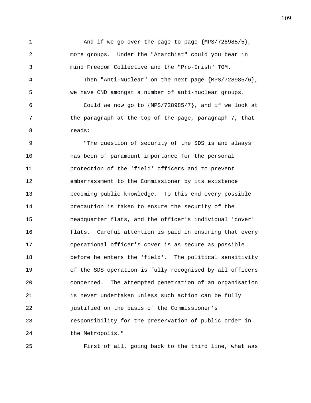1 And if we go over the page to page {MPS/728985/5}, 2 more groups. Under the "Anarchist" could you bear in 3 mind Freedom Collective and the "Pro-Irish" TOM.

4 Then "Anti-Nuclear" on the next page {MPS/728985/6}, 5 we have CND amongst a number of anti-nuclear groups.

6 Could we now go to  ${MPS}/728985/7$ , and if we look at 7 the paragraph at the top of the page, paragraph 7, that 8 reads:

9 "The question of security of the SDS is and always 10 has been of paramount importance for the personal 11 protection of the 'field' officers and to prevent 12 embarrassment to the Commissioner by its existence 13 becoming public knowledge. To this end every possible 14 precaution is taken to ensure the security of the 15 headquarter flats, and the officer's individual 'cover' 16 flats. Careful attention is paid in ensuring that every 17 operational officer's cover is as secure as possible 18 before he enters the 'field'. The political sensitivity 19 of the SDS operation is fully recognised by all officers 20 concerned. The attempted penetration of an organisation 21 is never undertaken unless such action can be fully 22 justified on the basis of the Commissioner's 23 responsibility for the preservation of public order in 24 the Metropolis."

25 First of all, going back to the third line, what was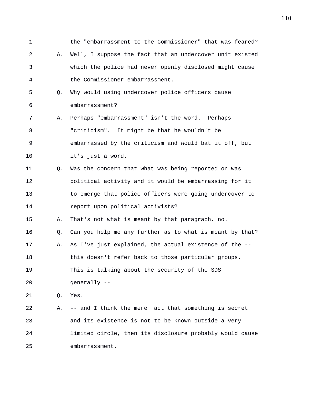1 the "embarrassment to the Commissioner" that was feared? 2 A. Well, I suppose the fact that an undercover unit existed 3 which the police had never openly disclosed might cause 4 the Commissioner embarrassment. 5 Q. Why would using undercover police officers cause 6 embarrassment? 7 A. Perhaps "embarrassment" isn't the word. Perhaps 8 "criticism". It might be that he wouldn't be 9 embarrassed by the criticism and would bat it off, but 10 it's just a word. 11 Q. Was the concern that what was being reported on was 12 political activity and it would be embarrassing for it 13 to emerge that police officers were going undercover to 14 report upon political activists? 15 A. That's not what is meant by that paragraph, no. 16 Q. Can you help me any further as to what is meant by that? 17 A. As I've just explained, the actual existence of the -- 18 this doesn't refer back to those particular groups. 19 This is talking about the security of the SDS 20 generally -- 21 Q. Yes. 22 A. -- and I think the mere fact that something is secret 23 and its existence is not to be known outside a very 24 limited circle, then its disclosure probably would cause 25 embarrassment.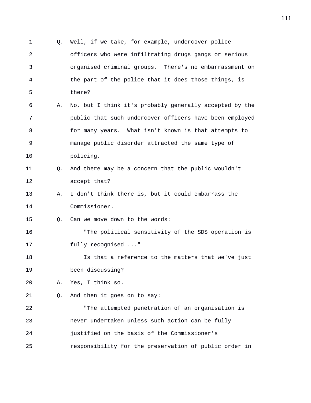1 Q. Well, if we take, for example, undercover police 2 officers who were infiltrating drugs gangs or serious 3 organised criminal groups. There's no embarrassment on 4 the part of the police that it does those things, is 5 there? 6 A. No, but I think it's probably generally accepted by the 7 public that such undercover officers have been employed 8 for many years. What isn't known is that attempts to 9 manage public disorder attracted the same type of 10 policing. 11 Q. And there may be a concern that the public wouldn't 12 accept that? 13 A. I don't think there is, but it could embarrass the 14 Commissioner. 15 Q. Can we move down to the words: 16 "The political sensitivity of the SDS operation is 17 fully recognised ..." 18 Is that a reference to the matters that we've just 19 been discussing? 20 A. Yes, I think so. 21 Q. And then it goes on to say: 22 "The attempted penetration of an organisation is 23 never undertaken unless such action can be fully 24 justified on the basis of the Commissioner's 25 responsibility for the preservation of public order in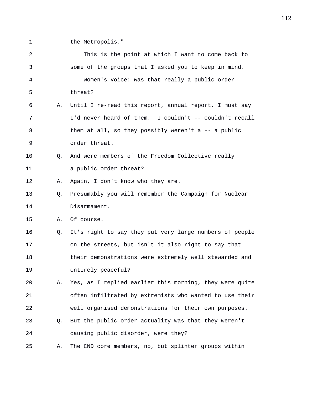1 the Metropolis."

| 2  |                | This is the point at which I want to come back to       |
|----|----------------|---------------------------------------------------------|
| 3  |                | some of the groups that I asked you to keep in mind.    |
| 4  |                | Women's Voice: was that really a public order           |
| 5  |                | threat?                                                 |
| 6  | Α.             | Until I re-read this report, annual report, I must say  |
| 7  |                | I'd never heard of them. I couldn't -- couldn't recall  |
| 8  |                | them at all, so they possibly weren't a $-$ a public    |
| 9  |                | order threat.                                           |
| 10 | O.             | And were members of the Freedom Collective really       |
| 11 |                | a public order threat?                                  |
| 12 | Α.             | Again, I don't know who they are.                       |
| 13 | Q.             | Presumably you will remember the Campaign for Nuclear   |
| 14 |                | Disarmament.                                            |
| 15 | Α.             | Of course.                                              |
| 16 | Q.             | It's right to say they put very large numbers of people |
| 17 |                | on the streets, but isn't it also right to say that     |
| 18 |                | their demonstrations were extremely well stewarded and  |
| 19 |                | entirely peaceful?                                      |
| 20 | Α.             | Yes, as I replied earlier this morning, they were quite |
| 21 |                | often infiltrated by extremists who wanted to use their |
| 22 |                | well organised demonstrations for their own purposes.   |
| 23 | Q <sub>z</sub> | But the public order actuality was that they weren't    |
| 24 |                | causing public disorder, were they?                     |
| 25 | Α.             | The CND core members, no, but splinter groups within    |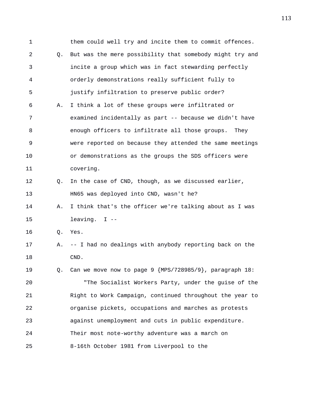1 them could well try and incite them to commit offences. 2 Q. But was the mere possibility that somebody might try and 3 incite a group which was in fact stewarding perfectly 4 orderly demonstrations really sufficient fully to 5 justify infiltration to preserve public order? 6 A. I think a lot of these groups were infiltrated or 7 examined incidentally as part -- because we didn't have 8 enough officers to infiltrate all those groups. They 9 were reported on because they attended the same meetings 10 or demonstrations as the groups the SDS officers were 11 covering. 12 Q. In the case of CND, though, as we discussed earlier, 13 HN65 was deployed into CND, wasn't he? 14 A. I think that's the officer we're talking about as I was 15 leaving. I -- 16 Q. Yes. 17 A. -- I had no dealings with anybody reporting back on the 18 CND. 19 Q. Can we move now to page 9 {MPS/728985/9}, paragraph 18: 20 "The Socialist Workers Party, under the guise of the 21 Right to Work Campaign, continued throughout the year to 22 organise pickets, occupations and marches as protests 23 against unemployment and cuts in public expenditure. 24 Their most note-worthy adventure was a march on 25 8-16th October 1981 from Liverpool to the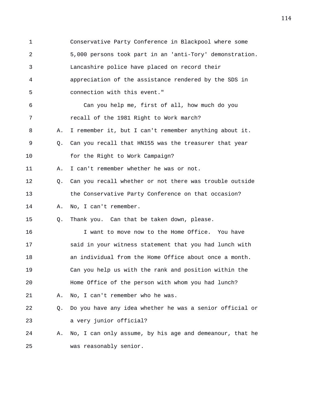1 Conservative Party Conference in Blackpool where some 2 5,000 persons took part in an 'anti-Tory' demonstration. 3 Lancashire police have placed on record their 4 appreciation of the assistance rendered by the SDS in 5 connection with this event." 6 Can you help me, first of all, how much do you 7 recall of the 1981 Right to Work march? 8 A. I remember it, but I can't remember anything about it. 9 Q. Can you recall that HN155 was the treasurer that year 10 for the Right to Work Campaign? 11 A. I can't remember whether he was or not. 12 Q. Can you recall whether or not there was trouble outside 13 the Conservative Party Conference on that occasion? 14 A. No, I can't remember. 15 Q. Thank you. Can that be taken down, please. 16 I want to move now to the Home Office. You have 17 said in your witness statement that you had lunch with 18 an individual from the Home Office about once a month. 19 Can you help us with the rank and position within the 20 Home Office of the person with whom you had lunch? 21 A. No, I can't remember who he was. 22 Q. Do you have any idea whether he was a senior official or 23 a very junior official? 24 A. No, I can only assume, by his age and demeanour, that he 25 was reasonably senior.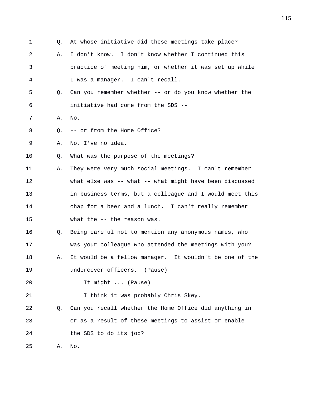1 Q. At whose initiative did these meetings take place? 2 A. I don't know. I don't know whether I continued this 3 practice of meeting him, or whether it was set up while 4 I was a manager. I can't recall. 5 Q. Can you remember whether -- or do you know whether the 6 initiative had come from the SDS -- 7 A. No. 8 0. -- or from the Home Office? 9 A. No, I've no idea. 10 Q. What was the purpose of the meetings? 11 A. They were very much social meetings. I can't remember 12 what else was -- what -- what might have been discussed 13 in business terms, but a colleague and I would meet this 14 chap for a beer and a lunch. I can't really remember 15 what the -- the reason was. 16 Q. Being careful not to mention any anonymous names, who 17 was your colleague who attended the meetings with you? 18 A. It would be a fellow manager. It wouldn't be one of the 19 undercover officers. (Pause) 20 It might ... (Pause) 21 1 1 think it was probably Chris Skey. 22 Q. Can you recall whether the Home Office did anything in 23 or as a result of these meetings to assist or enable 24 the SDS to do its job? 25 A. No.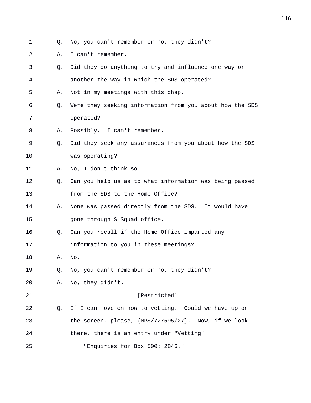- 1 Q. No, you can't remember or no, they didn't?
- 2 A. I can't remember.
- 3 Q. Did they do anything to try and influence one way or 4 another the way in which the SDS operated? 5 A. Not in my meetings with this chap. 6 Q. Were they seeking information from you about how the SDS 7 operated? 8 A. Possibly. I can't remember. 9 Q. Did they seek any assurances from you about how the SDS 10 was operating? 11 A. No, I don't think so. 12 Q. Can you help us as to what information was being passed 13 from the SDS to the Home Office? 14 A. None was passed directly from the SDS. It would have 15 gone through S Squad office. 16 Q. Can you recall if the Home Office imparted any 17 information to you in these meetings? 18 A. No. 19 Q. No, you can't remember or no, they didn't? 20 A. No, they didn't. 21 **Example 21 Example 21 Example 21 EXECUTE:** 22 Q. If I can move on now to vetting. Could we have up on 23 the screen, please, {MPS/727595/27}. Now, if we look 24 there, there is an entry under "Vetting": 25 "Enquiries for Box 500: 2846."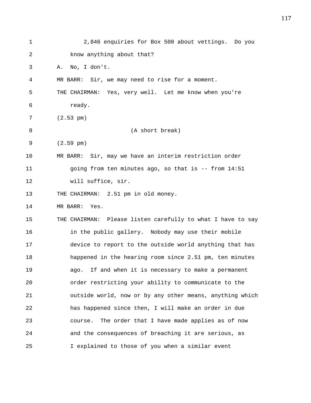| $\mathbf 1$ | 2,846 enquiries for Box 500 about vettings. Do you          |
|-------------|-------------------------------------------------------------|
| 2           | know anything about that?                                   |
| 3           | No, I don't.<br>Α.                                          |
| 4           | MR BARR: Sir, we may need to rise for a moment.             |
| 5           | THE CHAIRMAN: Yes, very well. Let me know when you're       |
| 6           | ready.                                                      |
| 7           | $(2.53 \text{ pm})$                                         |
| 8           | (A short break)                                             |
| 9           | $(2.59 \text{ pm})$                                         |
| 10          | MR BARR: Sir, may we have an interim restriction order      |
| 11          | going from ten minutes ago, so that is -- from 14:51        |
| 12          | will suffice, sir.                                          |
| 13          | THE CHAIRMAN: 2.51 pm in old money.                         |
| 14          | MR BARR: Yes.                                               |
| 15          | THE CHAIRMAN: Please listen carefully to what I have to say |
| 16          | in the public gallery. Nobody may use their mobile          |
| 17          | device to report to the outside world anything that has     |
| 18          | happened in the hearing room since 2.51 pm, ten minutes     |
| 19          | If and when it is necessary to make a permanent<br>aqo.     |
| 20          | order restricting your ability to communicate to the        |
| 21          | outside world, now or by any other means, anything which    |
| 22          | has happened since then, I will make an order in due        |
| 23          | The order that I have made applies as of now<br>course.     |
| 24          | and the consequences of breaching it are serious, as        |
| 25          | I explained to those of you when a similar event            |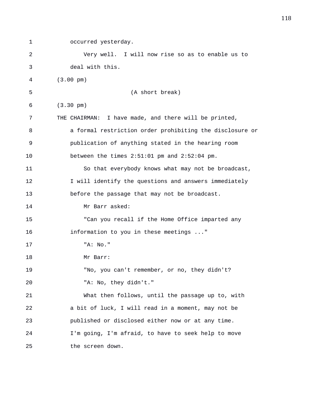1 occurred yesterday. 2 Very well. I will now rise so as to enable us to 3 deal with this. 4 (3.00 pm) 5 (A short break) 6 (3.30 pm) 7 THE CHAIRMAN: I have made, and there will be printed, 8 a formal restriction order prohibiting the disclosure or 9 publication of anything stated in the hearing room 10 between the times 2:51:01 pm and 2:52:04 pm. 11 So that everybody knows what may not be broadcast, 12 I will identify the questions and answers immediately 13 before the passage that may not be broadcast. 14 Mr Barr asked: 15 "Can you recall if the Home Office imparted any 16 information to you in these meetings ..." 17 "A: No." 18 Mr Barr: 19 "No, you can't remember, or no, they didn't? 20 "A: No, they didn't." 21 What then follows, until the passage up to, with 22 a bit of luck, I will read in a moment, may not be 23 published or disclosed either now or at any time. 24 I'm going, I'm afraid, to have to seek help to move 25 the screen down.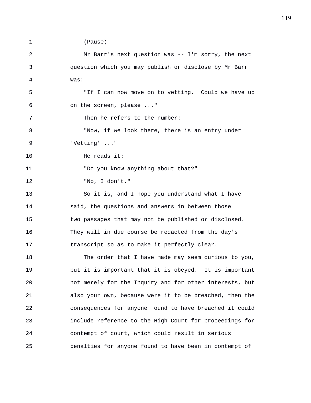1 (Pause)

| $\overline{a}$ | Mr Barr's next question was -- I'm sorry, the next      |
|----------------|---------------------------------------------------------|
| 3              | question which you may publish or disclose by Mr Barr   |
| 4              | was:                                                    |
| 5              | "If I can now move on to vetting. Could we have up      |
| 6              | on the screen, please "                                 |
| 7              | Then he refers to the number:                           |
| 8              | "Now, if we look there, there is an entry under         |
| 9              | 'Vetting' "                                             |
| 10             | He reads it:                                            |
| 11             | "Do you know anything about that?"                      |
| 12             | "No, I don't."                                          |
| 13             | So it is, and I hope you understand what I have         |
| 14             | said, the questions and answers in between those        |
| 15             | two passages that may not be published or disclosed.    |
| 16             | They will in due course be redacted from the day's      |
| 17             | transcript so as to make it perfectly clear.            |
| 18             | The order that I have made may seem curious to you,     |
| 19             | but it is important that it is obeyed. It is important  |
| 20             | not merely for the Inquiry and for other interests, but |
| 21             | also your own, because were it to be breached, then the |
| 22             | consequences for anyone found to have breached it could |
| 23             | include reference to the High Court for proceedings for |
| 24             | contempt of court, which could result in serious        |
| 25             | penalties for anyone found to have been in contempt of  |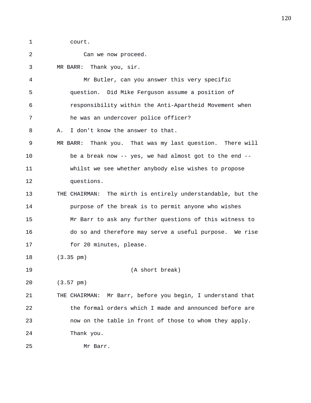1 court.

| 2  | Can we now proceed.                                         |
|----|-------------------------------------------------------------|
| 3  | MR BARR: Thank you, sir.                                    |
| 4  | Mr Butler, can you answer this very specific                |
| 5  | question. Did Mike Ferguson assume a position of            |
| 6  | responsibility within the Anti-Apartheid Movement when      |
| 7  | he was an undercover police officer?                        |
| 8  | I don't know the answer to that.<br>Α.                      |
| 9  | MR BARR: Thank you. That was my last question. There will   |
| 10 | be a break now -- yes, we had almost got to the end --      |
| 11 | whilst we see whether anybody else wishes to propose        |
| 12 | questions.                                                  |
| 13 | THE CHAIRMAN: The mirth is entirely understandable, but the |
| 14 | purpose of the break is to permit anyone who wishes         |
| 15 | Mr Barr to ask any further questions of this witness to     |
| 16 | do so and therefore may serve a useful purpose. We rise     |
| 17 | for 20 minutes, please.                                     |
| 18 | $(3.35 \text{ pm})$                                         |
| 19 | (A short break)                                             |
| 20 | $(3.57 \text{ pm})$                                         |
| 21 | THE CHAIRMAN: Mr Barr, before you begin, I understand that  |
| 22 | the formal orders which I made and announced before are     |
| 23 | now on the table in front of those to whom they apply.      |
| 24 | Thank you.                                                  |
| 25 | Mr Barr.                                                    |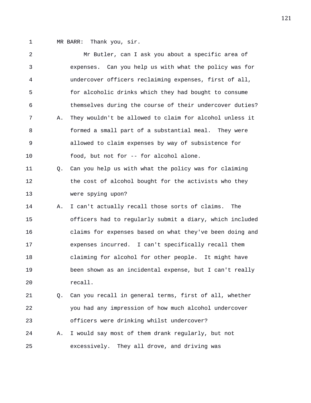1 MR BARR: Thank you, sir.

2 Mr Butler, can I ask you about a specific area of 3 expenses. Can you help us with what the policy was for 4 undercover officers reclaiming expenses, first of all, 5 for alcoholic drinks which they had bought to consume 6 themselves during the course of their undercover duties? 7 A. They wouldn't be allowed to claim for alcohol unless it 8 formed a small part of a substantial meal. They were 9 allowed to claim expenses by way of subsistence for 10 food, but not for -- for alcohol alone. 11 Q. Can you help us with what the policy was for claiming 12 the cost of alcohol bought for the activists who they 13 were spying upon? 14 A. I can't actually recall those sorts of claims. The 15 officers had to regularly submit a diary, which included 16 claims for expenses based on what they've been doing and 17 expenses incurred. I can't specifically recall them 18 claiming for alcohol for other people. It might have 19 been shown as an incidental expense, but I can't really 20 recall. 21 Q. Can you recall in general terms, first of all, whether 22 you had any impression of how much alcohol undercover 23 officers were drinking whilst undercover? 24 A. I would say most of them drank regularly, but not

25 excessively. They all drove, and driving was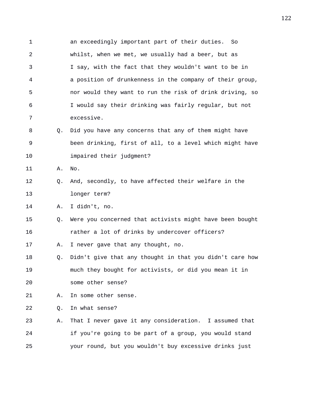1 an exceedingly important part of their duties. So 2 whilst, when we met, we usually had a beer, but as 3 I say, with the fact that they wouldn't want to be in 4 a position of drunkenness in the company of their group, 5 nor would they want to run the risk of drink driving, so 6 I would say their drinking was fairly regular, but not 7 excessive. 8 Q. Did you have any concerns that any of them might have

9 been drinking, first of all, to a level which might have 10 impaired their judgment?

11 A. No.

12 Q. And, secondly, to have affected their welfare in the 13 longer term?

14 A. I didn't, no.

15 Q. Were you concerned that activists might have been bought 16 rather a lot of drinks by undercover officers?

17 A. I never gave that any thought, no.

18 Q. Didn't give that any thought in that you didn't care how 19 much they bought for activists, or did you mean it in 20 some other sense?

21 A. In some other sense.

22 Q. In what sense?

23 A. That I never gave it any consideration. I assumed that 24 if you're going to be part of a group, you would stand 25 your round, but you wouldn't buy excessive drinks just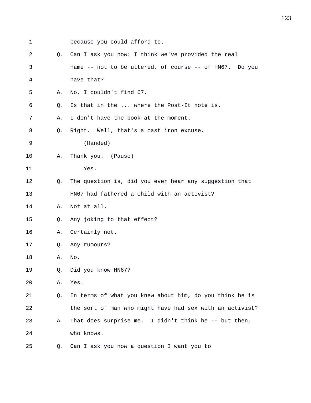- 1 because you could afford to. 2 Q. Can I ask you now: I think we've provided the real 3 name -- not to be uttered, of course -- of HN67. Do you 4 have that? 5 A. No, I couldn't find 67. 6 Q. Is that in the ... where the Post-It note is. 7 A. I don't have the book at the moment. 8 Q. Right. Well, that's a cast iron excuse. 9 (Handed) 10 A. Thank you. (Pause) 11 Yes. 12 Q. The question is, did you ever hear any suggestion that 13 HN67 had fathered a child with an activist? 14 A. Not at all. 15 Q. Any joking to that effect? 16 A. Certainly not. 17 Q. Any rumours? 18 A. No. 19 Q. Did you know HN67? 20 A. Yes. 21 Q. In terms of what you knew about him, do you think he is 22 the sort of man who might have had sex with an activist? 23 A. That does surprise me. I didn't think he -- but then, 24 who knows.
- 25 Q. Can I ask you now a question I want you to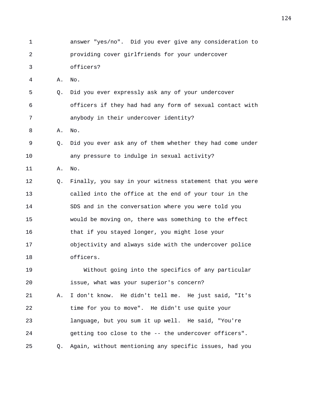- 1 answer "yes/no". Did you ever give any consideration to 2 providing cover girlfriends for your undercover 3 officers? 4 A. No. 5 Q. Did you ever expressly ask any of your undercover 6 officers if they had had any form of sexual contact with 7 anybody in their undercover identity? 8 A. No. 9 Q. Did you ever ask any of them whether they had come under 10 any pressure to indulge in sexual activity? 11 A. No. 12 Q. Finally, you say in your witness statement that you were 13 called into the office at the end of your tour in the 14 SDS and in the conversation where you were told you 15 would be moving on, there was something to the effect 16 that if you stayed longer, you might lose your 17 objectivity and always side with the undercover police 18 officers. 19 Without going into the specifics of any particular 20 issue, what was your superior's concern? 21 A. I don't know. He didn't tell me. He just said, "It's 22 time for you to move". He didn't use quite your 23 language, but you sum it up well. He said, "You're 24 getting too close to the -- the undercover officers".
- 25 Q. Again, without mentioning any specific issues, had you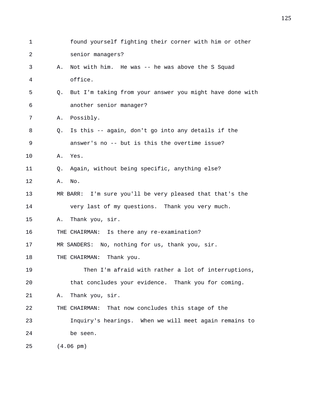| $\mathbf 1$ |    | found yourself fighting their corner with him or other   |
|-------------|----|----------------------------------------------------------|
| 2           |    | senior managers?                                         |
| 3           | Α. | Not with him. He was -- he was above the S Squad         |
| 4           |    | office.                                                  |
| 5           | Q. | But I'm taking from your answer you might have done with |
| 6           |    | another senior manager?                                  |
| 7           | Α. | Possibly.                                                |
| 8           | Q. | Is this -- again, don't go into any details if the       |
| 9           |    | answer's no -- but is this the overtime issue?           |
| 10          | Α. | Yes.                                                     |
| 11          | O. | Again, without being specific, anything else?            |
| 12          | Α. | No.                                                      |
| 13          |    | MR BARR: I'm sure you'll be very pleased that that's the |
| 14          |    | very last of my questions. Thank you very much.          |
| 15          | Α. | Thank you, sir.                                          |
| 16          |    | THE CHAIRMAN: Is there any re-examination?               |
| 17          |    | MR SANDERS: No, nothing for us, thank you, sir.          |
| 18          |    | Thank you.<br>THE CHAIRMAN:                              |
| 19          |    | Then I'm afraid with rather a lot of interruptions,      |
| 20          |    | that concludes your evidence. Thank you for coming.      |
| 21          | Α. | Thank you, sir.                                          |
| 22          |    | That now concludes this stage of the<br>THE CHAIRMAN:    |
| 23          |    | Inquiry's hearings. When we will meet again remains to   |
| 24          |    | be seen.                                                 |
| 25          |    | $(4.06 \text{ pm})$                                      |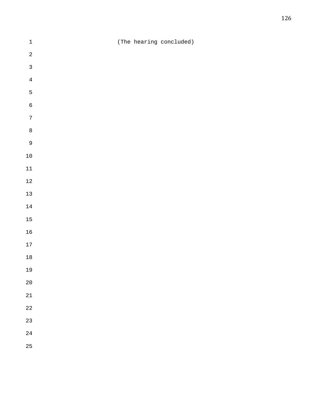| $\ensuremath{\mathsf{1}}$ |  | (The hearing concluded) |
|---------------------------|--|-------------------------|
| $\sqrt{2}$                |  |                         |
| $\mathbf{3}$              |  |                         |
| $\bf 4$                   |  |                         |
| $\mathsf S$               |  |                         |
| $\overline{6}$            |  |                         |
| $\sqrt{ }$                |  |                         |
| $\,8\,$                   |  |                         |
| $\overline{9}$            |  |                         |
| $10\,$                    |  |                         |
| $11\,$                    |  |                         |
| $12\,$                    |  |                         |
| $13\,$                    |  |                         |
| $14\,$                    |  |                         |
| $15\,$                    |  |                         |
| $16\,$                    |  |                         |
| $17\,$                    |  |                         |
| $18\,$                    |  |                         |
| 19                        |  |                         |
| $20\,$                    |  |                         |
| $21\,$                    |  |                         |
| $2\sqrt{2}$               |  |                         |
| 23                        |  |                         |
| $2\sqrt{4}$               |  |                         |
| 25                        |  |                         |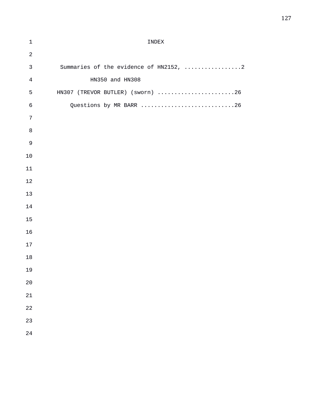| $\mathbf 1$    | INDEX                                  |
|----------------|----------------------------------------|
| $\sqrt{2}$     |                                        |
| $\mathsf{3}$   | Summaries of the evidence of HN2152, 2 |
| $\,4$          | HN350 and HN308                        |
| 5              | HN307 (TREVOR BUTLER) (sworn) 26       |
| $\epsilon$     | Questions by MR BARR 26                |
| $\overline{7}$ |                                        |
| $\,8\,$        |                                        |
| $\mathsf 9$    |                                        |
| $10$           |                                        |
| $11\,$         |                                        |
| 12             |                                        |
| 13             |                                        |
| 14             |                                        |
| 15             |                                        |
| 16             |                                        |
| $17$           |                                        |
| 18             |                                        |
| 19             |                                        |
| 20             |                                        |
| 21             |                                        |
| 22             |                                        |
| 23             |                                        |
| 24             |                                        |